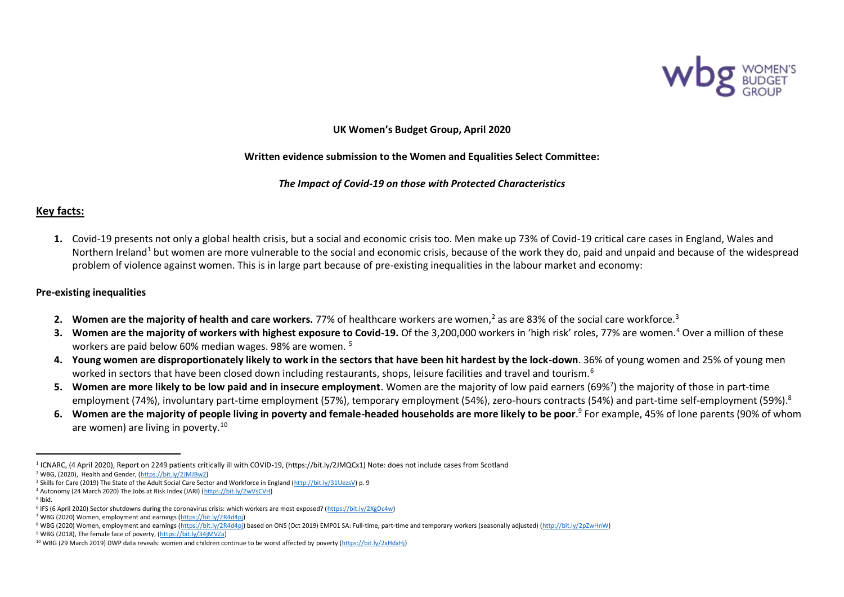

**UK Women's Budget Group, April 2020**

#### **Written evidence submission to the Women and Equalities Select Committee:**

*The Impact of Covid-19 on those with Protected Characteristics*

## **Key facts:**

**1.** Covid-19 presents not only a global health crisis, but a social and economic crisis too. Men make up 73% of Covid-19 critical care cases in England, Wales and Northern Ireland<sup>1</sup> but women are more vulnerable to the social and economic crisis, because of the work they do, paid and unpaid and because of the widespread problem of violence against women. This is in large part because of pre-existing inequalities in the labour market and economy:

#### **Pre-existing inequalities**

- **2. Women are the majority of health and care workers.** 77% of healthcare workers are women,<sup>2</sup> as are 83% of the social care workforce.<sup>3</sup>
- **3. Women are the majority of workers with highest exposure to Covid-19.** Of the 3,200,000 workers in 'high risk' roles, 77% are women.<sup>4</sup> Over a million of these workers are paid below 60% median wages. 98% are women. <sup>5</sup>
- **4. Young women are disproportionately likely to work in the sectors that have been hit hardest by the lock-down**. 36% of young women and 25% of young men worked in sectors that have been closed down including restaurants, shops, leisure facilities and travel and tourism.<sup>6</sup>
- 5. Women are more likely to be low paid and in insecure employment. Women are the majority of low paid earners (69%<sup>7</sup>) the majority of those in part-time employment (74%), involuntary part-time employment (57%), temporary employment (54%), zero-hours contracts (54%) and part-time self-employment (59%).<sup>8</sup>
- **6. Women are the majority of people living in poverty and female-headed households are more likely to be poor**. 9 For example, 45% of lone parents (90% of whom are women) are living in poverty.<sup>10</sup>

<sup>1</sup> ICNARC, (4 April 2020), Report on 2249 patients critically ill with COVID-19, (https://bit.ly/2JMQCx1) Note: does not include cases from Scotland

<sup>2</sup> WBG, (2020), Health and Gender, [\(https://bit.ly/2JMJBw2\)](https://bit.ly/2JMJBw2)

<sup>&</sup>lt;sup>3</sup> Skills for Care (2019) The State of the Adult Social Care Sector and Workforce in England [\(http://bit.ly/31UezsV\)](http://bit.ly/31UezsV) p. 9

<sup>4</sup> Autonomy (24 March 2020) The Jobs at Risk Index (JARI) [\(https://bit.ly/2wVsCVH\)](https://bit.ly/2wVsCVH)

<sup>5</sup> Ibid.

<sup>&</sup>lt;sup>6</sup> IFS (6 April 2020) Sector shutdowns during the coronavirus crisis: which workers are most exposed? [\(https://bit.ly/2XgDc4w\)](https://bit.ly/2XgDc4w)

<sup>7</sup> WBG (2020) Women, employment and earnings [\(https://bit.ly/2R4d4pj\)](https://bit.ly/2R4d4pj)

<sup>8</sup> WBG (2020) Women, employment and earnings [\(https://bit.ly/2R4d4pj\)](https://bit.ly/2R4d4pj) based on ONS (Oct 2019) EMP01 SA: Full-time, part-time and temporary workers (seasonally adjusted) [\(http://bit.ly/2pZwHnW\)](http://bit.ly/2pZwHnW)

<sup>9</sup> WBG (2018), The female face of poverty, [\(https://bit.ly/34jMVZa\)](https://bit.ly/34jMVZa)

<sup>10</sup> WBG (29 March 2019) DWP data reveals: women and children continue to be worst affected by poverty [\(https://bit.ly/2xHdxHj\)](https://bit.ly/2xHdxHj)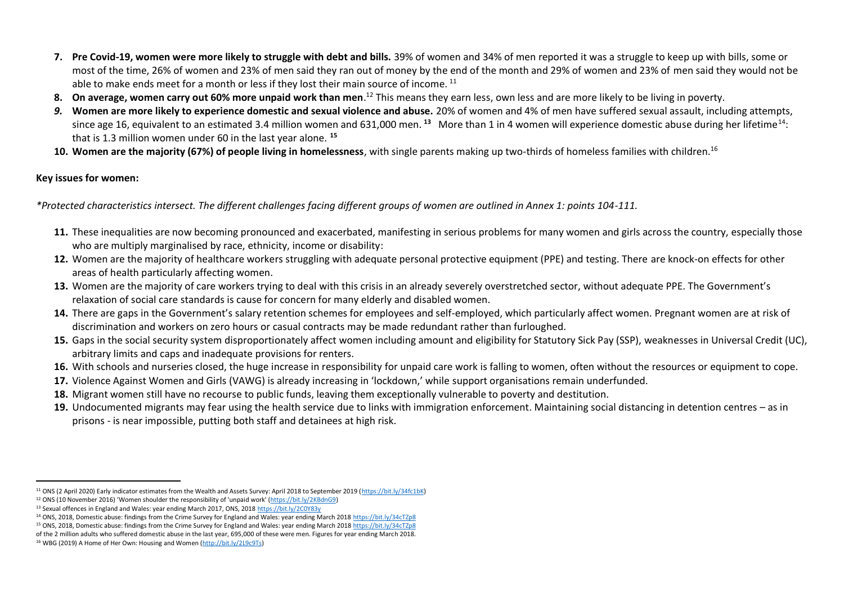- **7. Pre Covid-19, women were more likely to struggle with debt and bills.** 39% of women and 34% of men reported it was a struggle to keep up with bills, some or most of the time, 26% of women and 23% of men said they ran out of money by the end of the month and 29% of women and 23% of men said they would not be able to make ends meet for a month or less if they lost their main source of income.<sup>11</sup>
- 8. On average, women carry out 60% more unpaid work than men.<sup>12</sup> This means they earn less, own less and are more likely to be living in poverty.
- *9.* **Women are more likely to experience domestic and sexual violence and abuse.** 20% of women and 4% of men have suffered sexual assault, including attempts, since age 16, equivalent to an estimated 3.4 million women and 631,000 men. <sup>13</sup> More than 1 in 4 women will experience domestic abuse during her lifetime<sup>14</sup>: that is 1.3 million women under 60 in the last year alone. **<sup>15</sup>**
- **10. Women are the majority (67%) of people living in homelessness**, with single parents making up two-thirds of homeless families with children.<sup>16</sup>

## **Key issues for women:**

*\*Protected characteristics intersect. The different challenges facing different groups of women are outlined in Annex 1: points 104-111.* 

- **11.** These inequalities are now becoming pronounced and exacerbated, manifesting in serious problems for many women and girls across the country, especially those who are multiply marginalised by race, ethnicity, income or disability:
- **12.** Women are the majority of healthcare workers struggling with adequate personal protective equipment (PPE) and testing. There are knock-on effects for other areas of health particularly affecting women.
- **13.** Women are the majority of care workers trying to deal with this crisis in an already severely overstretched sector, without adequate PPE. The Government's relaxation of social care standards is cause for concern for many elderly and disabled women.
- 14. There are gaps in the Government's salary retention schemes for employees and self-employed, which particularly affect women. Pregnant women are at risk of discrimination and workers on zero hours or casual contracts may be made redundant rather than furloughed.
- **15.** Gaps in the social security system disproportionately affect women including amount and eligibility for Statutory Sick Pay (SSP), weaknesses in Universal Credit (UC), arbitrary limits and caps and inadequate provisions for renters.
- **16.** With schools and nurseries closed, the huge increase in responsibility for unpaid care work is falling to women, often without the resources or equipment to cope.
- **17.** Violence Against Women and Girls (VAWG) is already increasing in 'lockdown,' while support organisations remain underfunded.
- **18.** Migrant women still have no recourse to public funds, leaving them exceptionally vulnerable to poverty and destitution.
- **19.** Undocumented migrants may fear using the health service due to links with immigration enforcement. Maintaining social distancing in detention centres as in prisons - is near impossible, putting both staff and detainees at high risk.

<sup>11</sup> ONS (2 April 2020) Early indicator estimates from the Wealth and Assets Survey: April 2018 to September 2019 [\(https://bit.ly/34fc1bK\)](https://bit.ly/34fc1bK)

<sup>12</sup> ONS (10 November 2016) 'Women shoulder the responsibility of 'unpaid work' [\(https://bit.ly/2KBdnG9\)](https://bit.ly/2KBdnG9)

<sup>13</sup> Sexual offences in England and Wales: year ending March 2017, ONS, 201[8 https://bit.ly/2C0Y83y](https://bit.ly/2C0Y83y) 

<sup>14</sup> ONS, 2018, Domestic abuse: findings from the Crime Survey for England and Wales: year ending March 201[8 https://bit.ly/34cTZp8](https://bit.ly/34cTZp8)

<sup>15</sup> ONS, 2018, Domestic abuse: findings from the Crime Survey for England and Wales: year ending March 201[8 https://bit.ly/34cTZp8](https://bit.ly/34cTZp8)

of the 2 million adults who suffered domestic abuse in the last year, 695,000 of these were men. Figures for year ending March 2018.

<sup>16</sup> WBG (2019) A Home of Her Own: Housing and Women [\(http://bit.ly/2L9c9Ts\)](http://bit.ly/2L9c9Ts)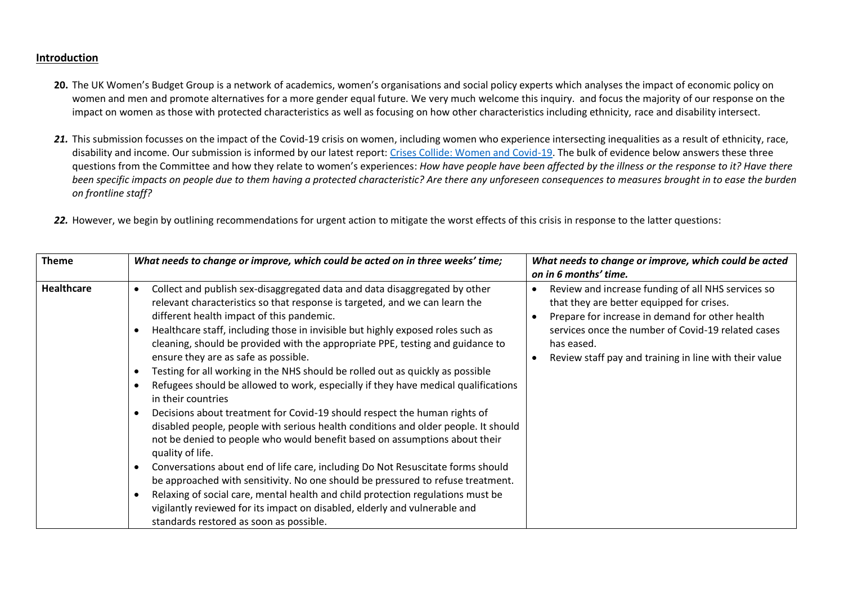#### **Introduction**

- **20.** The UK Women's Budget Group is a network of academics, women's organisations and social policy experts which analyses the impact of economic policy on women and men and promote alternatives for a more gender equal future. We very much welcome this inquiry. and focus the majority of our response on the impact on women as those with protected characteristics as well as focusing on how other characteristics including ethnicity, race and disability intersect.
- 21. This submission focusses on the impact of the Covid-19 crisis on women, including women who experience intersecting inequalities as a result of ethnicity, race, disability and income. Our submission is informed by our latest report: [Crises Collide: Women and Covid-19.](https://wbg.org.uk/analysis/uk-policy-briefings/crises-collide-women-and-covid-19/) The bulk of evidence below answers these three questions from the Committee and how they relate to women's experiences: *How have people have been affected by the illness or the response to it? Have there been specific impacts on people due to them having a protected characteristic? Are there any unforeseen consequences to measures brought in to ease the burden on frontline staff?*
- *22.* However, we begin by outlining recommendations for urgent action to mitigate the worst effects of this crisis in response to the latter questions:

| <b>Theme</b>      | What needs to change or improve, which could be acted on in three weeks' time;                                                                                                                                                                                                                                                                                                                                                                                                                                                                                                                                                                                                                                                                                                                                                                                                                                                                                                                                                                                                                                                                                                                                                                                           | What needs to change or improve, which could be acted<br>on in 6 months' time.                                                                                                                                                                                                   |
|-------------------|--------------------------------------------------------------------------------------------------------------------------------------------------------------------------------------------------------------------------------------------------------------------------------------------------------------------------------------------------------------------------------------------------------------------------------------------------------------------------------------------------------------------------------------------------------------------------------------------------------------------------------------------------------------------------------------------------------------------------------------------------------------------------------------------------------------------------------------------------------------------------------------------------------------------------------------------------------------------------------------------------------------------------------------------------------------------------------------------------------------------------------------------------------------------------------------------------------------------------------------------------------------------------|----------------------------------------------------------------------------------------------------------------------------------------------------------------------------------------------------------------------------------------------------------------------------------|
| <b>Healthcare</b> | Collect and publish sex-disaggregated data and data disaggregated by other<br>relevant characteristics so that response is targeted, and we can learn the<br>different health impact of this pandemic.<br>Healthcare staff, including those in invisible but highly exposed roles such as<br>cleaning, should be provided with the appropriate PPE, testing and guidance to<br>ensure they are as safe as possible.<br>Testing for all working in the NHS should be rolled out as quickly as possible<br>Refugees should be allowed to work, especially if they have medical qualifications<br>in their countries<br>Decisions about treatment for Covid-19 should respect the human rights of<br>disabled people, people with serious health conditions and older people. It should<br>not be denied to people who would benefit based on assumptions about their<br>quality of life.<br>Conversations about end of life care, including Do Not Resuscitate forms should<br>be approached with sensitivity. No one should be pressured to refuse treatment.<br>Relaxing of social care, mental health and child protection regulations must be<br>vigilantly reviewed for its impact on disabled, elderly and vulnerable and<br>standards restored as soon as possible. | Review and increase funding of all NHS services so<br>that they are better equipped for crises.<br>Prepare for increase in demand for other health<br>services once the number of Covid-19 related cases<br>has eased.<br>Review staff pay and training in line with their value |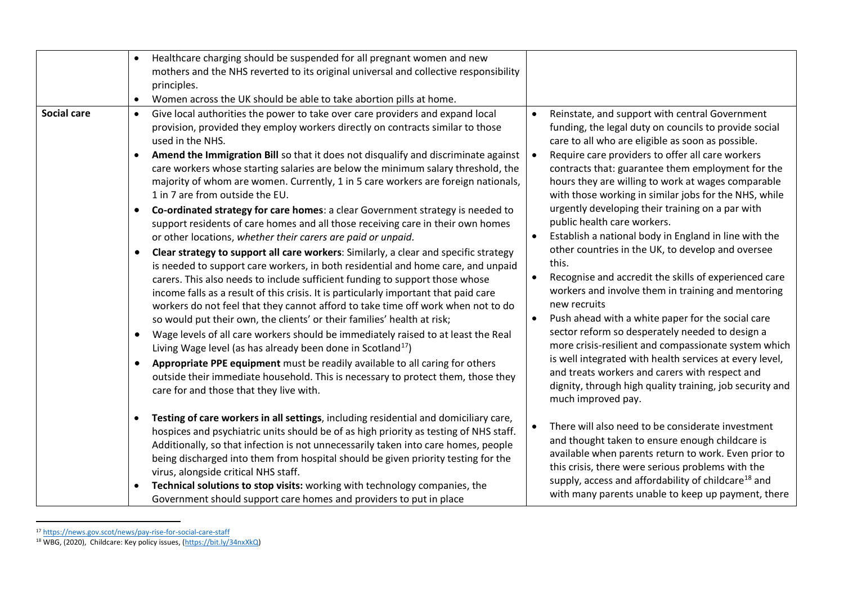|                    | Healthcare charging should be suspended for all pregnant women and new<br>mothers and the NHS reverted to its original universal and collective responsibility                                                                                                                                                                                                                                                                                                                                                                                                                                    |                                                                                                                                                                                                                                                                                                                                                                                                                                          |
|--------------------|---------------------------------------------------------------------------------------------------------------------------------------------------------------------------------------------------------------------------------------------------------------------------------------------------------------------------------------------------------------------------------------------------------------------------------------------------------------------------------------------------------------------------------------------------------------------------------------------------|------------------------------------------------------------------------------------------------------------------------------------------------------------------------------------------------------------------------------------------------------------------------------------------------------------------------------------------------------------------------------------------------------------------------------------------|
|                    | principles.                                                                                                                                                                                                                                                                                                                                                                                                                                                                                                                                                                                       |                                                                                                                                                                                                                                                                                                                                                                                                                                          |
|                    | Women across the UK should be able to take abortion pills at home.                                                                                                                                                                                                                                                                                                                                                                                                                                                                                                                                |                                                                                                                                                                                                                                                                                                                                                                                                                                          |
| <b>Social care</b> | Give local authorities the power to take over care providers and expand local<br>$\bullet$<br>provision, provided they employ workers directly on contracts similar to those<br>used in the NHS.<br>Amend the Immigration Bill so that it does not disqualify and discriminate against<br>care workers whose starting salaries are below the minimum salary threshold, the<br>majority of whom are women. Currently, 1 in 5 care workers are foreign nationals,<br>1 in 7 are from outside the EU.<br>Co-ordinated strategy for care homes: a clear Government strategy is needed to<br>$\bullet$ | Reinstate, and support with central Government<br>funding, the legal duty on councils to provide social<br>care to all who are eligible as soon as possible.<br>Require care providers to offer all care workers<br>contracts that: guarantee them employment for the<br>hours they are willing to work at wages comparable<br>with those working in similar jobs for the NHS, while<br>urgently developing their training on a par with |
|                    | support residents of care homes and all those receiving care in their own homes<br>or other locations, whether their carers are paid or unpaid.<br>Clear strategy to support all care workers: Similarly, a clear and specific strategy<br>$\bullet$                                                                                                                                                                                                                                                                                                                                              | public health care workers.<br>Establish a national body in England in line with the<br>other countries in the UK, to develop and oversee<br>this.                                                                                                                                                                                                                                                                                       |
|                    | is needed to support care workers, in both residential and home care, and unpaid<br>carers. This also needs to include sufficient funding to support those whose<br>income falls as a result of this crisis. It is particularly important that paid care<br>workers do not feel that they cannot afford to take time off work when not to do                                                                                                                                                                                                                                                      | Recognise and accredit the skills of experienced care<br>workers and involve them in training and mentoring<br>new recruits<br>$\bullet$                                                                                                                                                                                                                                                                                                 |
|                    | so would put their own, the clients' or their families' health at risk;<br>Wage levels of all care workers should be immediately raised to at least the Real<br>$\bullet$<br>Living Wage level (as has already been done in Scotland <sup>17</sup> )<br>Appropriate PPE equipment must be readily available to all caring for others<br>$\bullet$<br>outside their immediate household. This is necessary to protect them, those they<br>care for and those that they live with.                                                                                                                  | Push ahead with a white paper for the social care<br>sector reform so desperately needed to design a<br>more crisis-resilient and compassionate system which<br>is well integrated with health services at every level,<br>and treats workers and carers with respect and<br>dignity, through high quality training, job security and<br>much improved pay.                                                                              |
|                    | Testing of care workers in all settings, including residential and domiciliary care,<br>$\bullet$<br>hospices and psychiatric units should be of as high priority as testing of NHS staff.<br>Additionally, so that infection is not unnecessarily taken into care homes, people<br>being discharged into them from hospital should be given priority testing for the<br>virus, alongside critical NHS staff.<br>Technical solutions to stop visits: working with technology companies, the<br>Government should support care homes and providers to put in place                                 | There will also need to be considerate investment<br>and thought taken to ensure enough childcare is<br>available when parents return to work. Even prior to<br>this crisis, there were serious problems with the<br>supply, access and affordability of childcare <sup>18</sup> and<br>with many parents unable to keep up payment, there                                                                                               |

<sup>17</sup> <https://news.gov.scot/news/pay-rise-for-social-care-staff>

<sup>&</sup>lt;sup>18</sup> WBG, (2020), Childcare: Key policy issues, [\(https://bit.ly/34nxXkQ\)](https://bit.ly/34nxXkQ)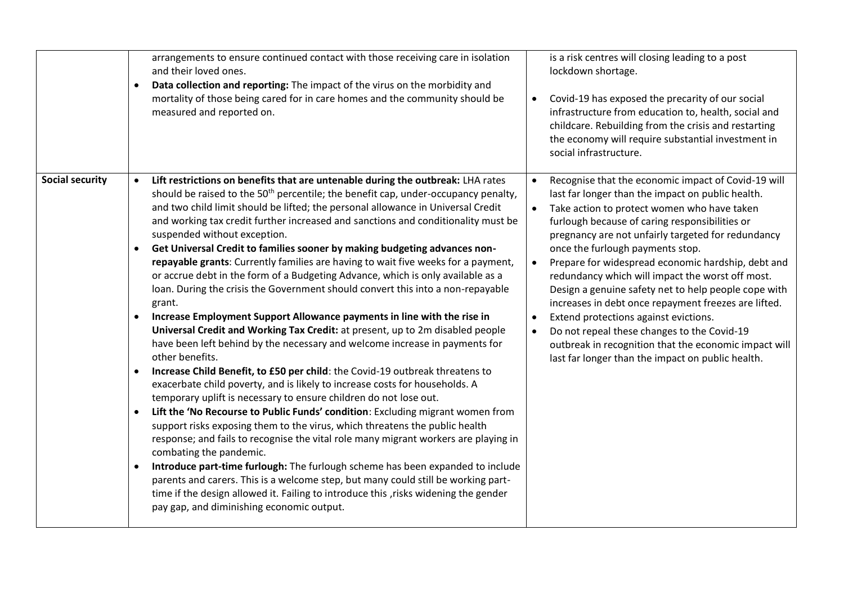|                        | arrangements to ensure continued contact with those receiving care in isolation<br>and their loved ones.<br>Data collection and reporting: The impact of the virus on the morbidity and<br>$\bullet$<br>mortality of those being cared for in care homes and the community should be<br>measured and reported on.                                                                                                                                                                                                                                                                                                                                                                                                                                                                                                                                                                                                                                                                                                                                                                                                                                                                                                                                                                                                                                                                                                                                                                                                                                                                                                                                                                                                                                                                                                                                                                                 | is a risk centres will closing leading to a post<br>lockdown shortage.<br>Covid-19 has exposed the precarity of our social<br>infrastructure from education to, health, social and<br>childcare. Rebuilding from the crisis and restarting<br>the economy will require substantial investment in<br>social infrastructure.                                                                                                                                                                                                                                                                                                                                                                                                                                                 |
|------------------------|---------------------------------------------------------------------------------------------------------------------------------------------------------------------------------------------------------------------------------------------------------------------------------------------------------------------------------------------------------------------------------------------------------------------------------------------------------------------------------------------------------------------------------------------------------------------------------------------------------------------------------------------------------------------------------------------------------------------------------------------------------------------------------------------------------------------------------------------------------------------------------------------------------------------------------------------------------------------------------------------------------------------------------------------------------------------------------------------------------------------------------------------------------------------------------------------------------------------------------------------------------------------------------------------------------------------------------------------------------------------------------------------------------------------------------------------------------------------------------------------------------------------------------------------------------------------------------------------------------------------------------------------------------------------------------------------------------------------------------------------------------------------------------------------------------------------------------------------------------------------------------------------------|----------------------------------------------------------------------------------------------------------------------------------------------------------------------------------------------------------------------------------------------------------------------------------------------------------------------------------------------------------------------------------------------------------------------------------------------------------------------------------------------------------------------------------------------------------------------------------------------------------------------------------------------------------------------------------------------------------------------------------------------------------------------------|
| <b>Social security</b> | Lift restrictions on benefits that are untenable during the outbreak: LHA rates<br>should be raised to the 50 <sup>th</sup> percentile; the benefit cap, under-occupancy penalty,<br>and two child limit should be lifted; the personal allowance in Universal Credit<br>and working tax credit further increased and sanctions and conditionality must be<br>suspended without exception.<br>Get Universal Credit to families sooner by making budgeting advances non-<br>$\bullet$<br>repayable grants: Currently families are having to wait five weeks for a payment,<br>or accrue debt in the form of a Budgeting Advance, which is only available as a<br>loan. During the crisis the Government should convert this into a non-repayable<br>grant.<br>Increase Employment Support Allowance payments in line with the rise in<br>Universal Credit and Working Tax Credit: at present, up to 2m disabled people<br>have been left behind by the necessary and welcome increase in payments for<br>other benefits.<br>Increase Child Benefit, to £50 per child: the Covid-19 outbreak threatens to<br>$\bullet$<br>exacerbate child poverty, and is likely to increase costs for households. A<br>temporary uplift is necessary to ensure children do not lose out.<br>Lift the 'No Recourse to Public Funds' condition: Excluding migrant women from<br>$\bullet$<br>support risks exposing them to the virus, which threatens the public health<br>response; and fails to recognise the vital role many migrant workers are playing in<br>combating the pandemic.<br>Introduce part-time furlough: The furlough scheme has been expanded to include<br>$\bullet$<br>parents and carers. This is a welcome step, but many could still be working part-<br>time if the design allowed it. Failing to introduce this , risks widening the gender<br>pay gap, and diminishing economic output. | Recognise that the economic impact of Covid-19 will<br>$\bullet$<br>last far longer than the impact on public health.<br>Take action to protect women who have taken<br>$\bullet$<br>furlough because of caring responsibilities or<br>pregnancy are not unfairly targeted for redundancy<br>once the furlough payments stop.<br>Prepare for widespread economic hardship, debt and<br>$\bullet$<br>redundancy which will impact the worst off most.<br>Design a genuine safety net to help people cope with<br>increases in debt once repayment freezes are lifted.<br>Extend protections against evictions.<br>Do not repeal these changes to the Covid-19<br>outbreak in recognition that the economic impact will<br>last far longer than the impact on public health. |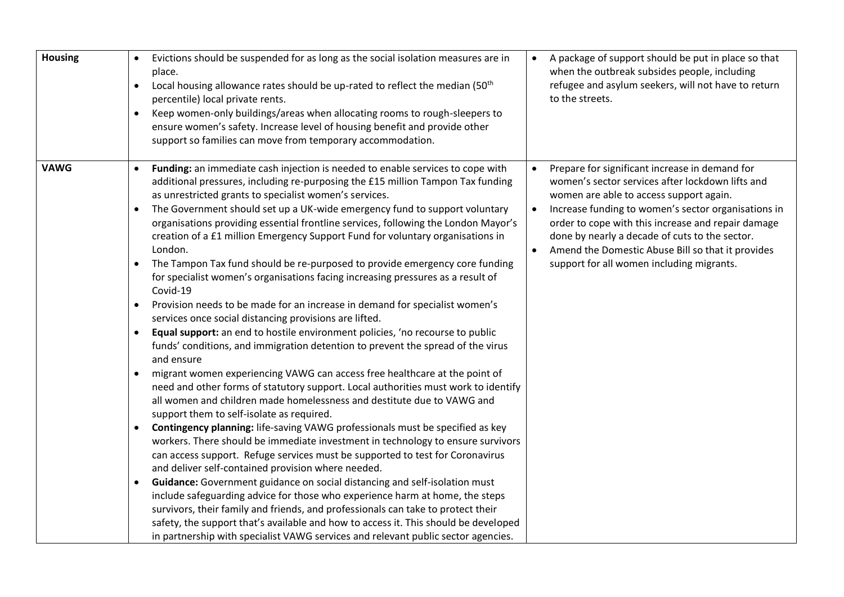| <b>Housing</b> | Evictions should be suspended for as long as the social isolation measures are in<br>$\bullet$<br>place.<br>Local housing allowance rates should be up-rated to reflect the median (50 <sup>th</sup><br>$\bullet$<br>percentile) local private rents.<br>Keep women-only buildings/areas when allocating rooms to rough-sleepers to<br>$\bullet$<br>ensure women's safety. Increase level of housing benefit and provide other<br>support so families can move from temporary accommodation.                                                                                                                                                                                                                                                                                                                                                                                                                                                                                                                                                                                                                                                                                                                                                                                                                                                                                                                                                                                                                                                                                                                                                                                                                                                                                                                                                                                                                                                                                                                                                                                                                            | A package of support should be put in place so that<br>when the outbreak subsides people, including<br>refugee and asylum seekers, will not have to return<br>to the streets.                                                                                                                                                                                                                                                            |
|----------------|-------------------------------------------------------------------------------------------------------------------------------------------------------------------------------------------------------------------------------------------------------------------------------------------------------------------------------------------------------------------------------------------------------------------------------------------------------------------------------------------------------------------------------------------------------------------------------------------------------------------------------------------------------------------------------------------------------------------------------------------------------------------------------------------------------------------------------------------------------------------------------------------------------------------------------------------------------------------------------------------------------------------------------------------------------------------------------------------------------------------------------------------------------------------------------------------------------------------------------------------------------------------------------------------------------------------------------------------------------------------------------------------------------------------------------------------------------------------------------------------------------------------------------------------------------------------------------------------------------------------------------------------------------------------------------------------------------------------------------------------------------------------------------------------------------------------------------------------------------------------------------------------------------------------------------------------------------------------------------------------------------------------------------------------------------------------------------------------------------------------------|------------------------------------------------------------------------------------------------------------------------------------------------------------------------------------------------------------------------------------------------------------------------------------------------------------------------------------------------------------------------------------------------------------------------------------------|
| <b>VAWG</b>    | Funding: an immediate cash injection is needed to enable services to cope with<br>additional pressures, including re-purposing the £15 million Tampon Tax funding<br>as unrestricted grants to specialist women's services.<br>The Government should set up a UK-wide emergency fund to support voluntary<br>$\bullet$<br>organisations providing essential frontline services, following the London Mayor's<br>creation of a £1 million Emergency Support Fund for voluntary organisations in<br>London.<br>The Tampon Tax fund should be re-purposed to provide emergency core funding<br>$\bullet$<br>for specialist women's organisations facing increasing pressures as a result of<br>Covid-19<br>Provision needs to be made for an increase in demand for specialist women's<br>$\bullet$<br>services once social distancing provisions are lifted.<br>Equal support: an end to hostile environment policies, 'no recourse to public<br>$\bullet$<br>funds' conditions, and immigration detention to prevent the spread of the virus<br>and ensure<br>migrant women experiencing VAWG can access free healthcare at the point of<br>need and other forms of statutory support. Local authorities must work to identify<br>all women and children made homelessness and destitute due to VAWG and<br>support them to self-isolate as required.<br>Contingency planning: life-saving VAWG professionals must be specified as key<br>$\bullet$<br>workers. There should be immediate investment in technology to ensure survivors<br>can access support. Refuge services must be supported to test for Coronavirus<br>and deliver self-contained provision where needed.<br>Guidance: Government guidance on social distancing and self-isolation must<br>$\bullet$<br>include safeguarding advice for those who experience harm at home, the steps<br>survivors, their family and friends, and professionals can take to protect their<br>safety, the support that's available and how to access it. This should be developed<br>in partnership with specialist VAWG services and relevant public sector agencies. | Prepare for significant increase in demand for<br>women's sector services after lockdown lifts and<br>women are able to access support again.<br>Increase funding to women's sector organisations in<br>$\bullet$<br>order to cope with this increase and repair damage<br>done by nearly a decade of cuts to the sector.<br>Amend the Domestic Abuse Bill so that it provides<br>$\bullet$<br>support for all women including migrants. |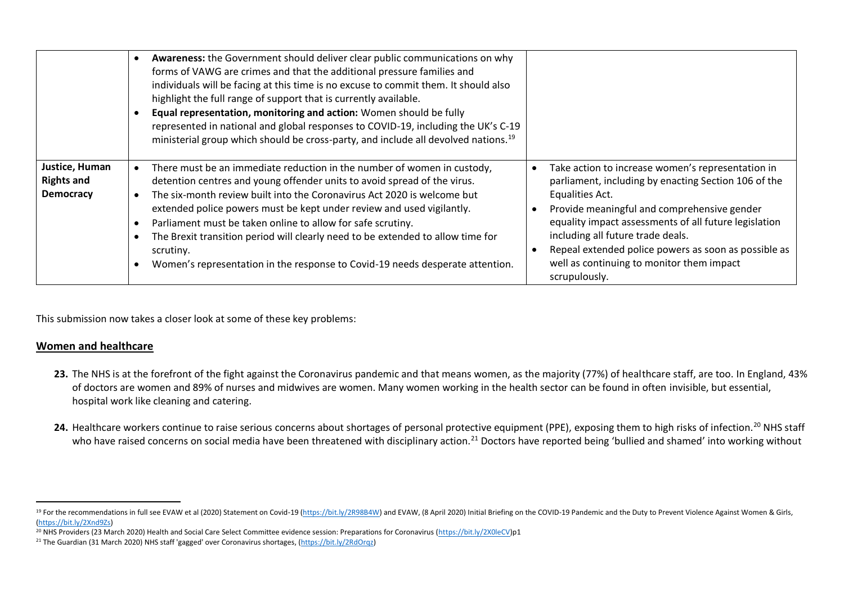|                                                         | Awareness: the Government should deliver clear public communications on why<br>forms of VAWG are crimes and that the additional pressure families and<br>individuals will be facing at this time is no excuse to commit them. It should also<br>highlight the full range of support that is currently available.<br>Equal representation, monitoring and action: Women should be fully<br>represented in national and global responses to COVID-19, including the UK's C-19<br>ministerial group which should be cross-party, and include all devolved nations. <sup>19</sup> |                                                                                                                                                                                                                                                                                                                                                                                                 |
|---------------------------------------------------------|-------------------------------------------------------------------------------------------------------------------------------------------------------------------------------------------------------------------------------------------------------------------------------------------------------------------------------------------------------------------------------------------------------------------------------------------------------------------------------------------------------------------------------------------------------------------------------|-------------------------------------------------------------------------------------------------------------------------------------------------------------------------------------------------------------------------------------------------------------------------------------------------------------------------------------------------------------------------------------------------|
| Justice, Human<br><b>Rights and</b><br><b>Democracy</b> | There must be an immediate reduction in the number of women in custody,<br>detention centres and young offender units to avoid spread of the virus.<br>The six-month review built into the Coronavirus Act 2020 is welcome but<br>extended police powers must be kept under review and used vigilantly.<br>Parliament must be taken online to allow for safe scrutiny.<br>The Brexit transition period will clearly need to be extended to allow time for<br>scrutiny.<br>Women's representation in the response to Covid-19 needs desperate attention.                       | Take action to increase women's representation in<br>parliament, including by enacting Section 106 of the<br>Equalities Act.<br>Provide meaningful and comprehensive gender<br>equality impact assessments of all future legislation<br>including all future trade deals.<br>Repeal extended police powers as soon as possible as<br>well as continuing to monitor them impact<br>scrupulously. |

This submission now takes a closer look at some of these key problems:

#### **Women and healthcare**

- 23. The NHS is at the forefront of the fight against the Coronavirus pandemic and that means women, as the majority (77%) of healthcare staff, are too. In England, 43% of doctors are women and 89% of nurses and midwives are women. Many women working in the health sector can be found in often invisible, but essential, hospital work like cleaning and catering.
- 24. Healthcare workers continue to raise serious concerns about shortages of personal protective equipment (PPE), exposing them to high risks of infection.<sup>20</sup> NHS staff who have raised concerns on social media have been threatened with disciplinary action.<sup>21</sup> Doctors have reported being 'bullied and shamed' into working without

<sup>&</sup>lt;sup>19</sup> For the recommendations in full see EVAW et al (2020) Statement on Covid-19 [\(https://bit.ly/2R98B4W\)](https://bit.ly/2R98B4W) and EVAW, (8 April 2020) Initial Briefing on the COVID-19 Pandemic and the Duty to Prevent Violence Against Women & [\(https://bit.ly/2Xnd9Zs\)](https://bit.ly/2Xnd9Zs)

<sup>&</sup>lt;sup>20</sup> NHS Providers (23 March 2020) Health and Social Care Select Committee evidence session: Preparations for Coronavirus [\(https://bit.ly/2X0leCV\)](https://bit.ly/2X0leCV)p1

<sup>21</sup> The Guardian (31 March 2020) NHS staff 'gagged' over Coronavirus shortages, [\(https://bit.ly/2RdOrqz\)](https://bit.ly/2RdOrqz)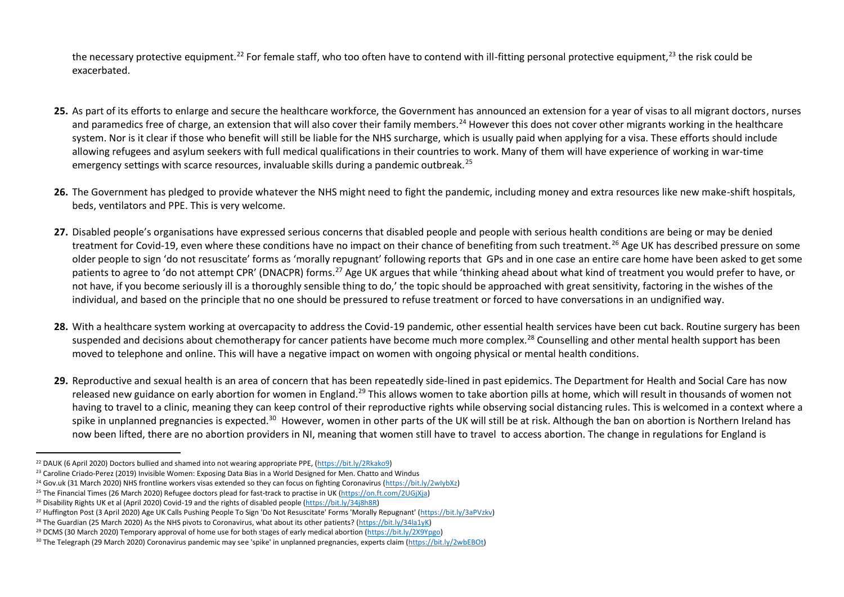the necessary protective equipment.<sup>22</sup> For female staff, who too often have to contend with ill-fitting personal protective equipment,<sup>23</sup> the risk could be exacerbated.

- **25.** As part of its efforts to enlarge and secure the healthcare workforce, the Government has announced an extension for a year of visas to all migrant doctors, nurses and paramedics free of charge, an extension that will also cover their family members.<sup>24</sup> However this does not cover other migrants working in the healthcare system. Nor is it clear if those who benefit will still be liable for the NHS surcharge, which is usually paid when applying for a visa. These efforts should include allowing refugees and asylum seekers with full medical qualifications in their countries to work. Many of them will have experience of working in war-time emergency settings with scarce resources, invaluable skills during a pandemic outbreak.<sup>25</sup>
- **26.** The Government has pledged to provide whatever the NHS might need to fight the pandemic, including money and extra resources like new make-shift hospitals, beds, ventilators and PPE. This is very welcome.
- **27.** Disabled people's organisations have expressed serious concerns that disabled people and people with serious health conditions are being or may be denied treatment for Covid-19, even where these conditions have no impact on their chance of benefiting from such treatment.<sup>26</sup> Age UK has described pressure on some older people to sign 'do not resuscitate' forms as 'morally repugnant' following reports that GPs and in one case an entire care home have been asked to get some patients to agree to 'do not attempt CPR' (DNACPR) forms.<sup>27</sup> Age UK argues that while 'thinking ahead about what kind of treatment you would prefer to have, or not have, if you become seriously ill is a thoroughly sensible thing to do,' the topic should be approached with great sensitivity, factoring in the wishes of the individual, and based on the principle that no one should be pressured to refuse treatment or forced to have conversations in an undignified way.
- **28.** With a healthcare system working at overcapacity to address the Covid-19 pandemic, other essential health services have been cut back. Routine surgery has been suspended and decisions about chemotherapy for cancer patients have become much more complex.<sup>28</sup> Counselling and other mental health support has been moved to telephone and online. This will have a negative impact on women with ongoing physical or mental health conditions.
- **29.** Reproductive and sexual health is an area of concern that has been repeatedly side-lined in past epidemics. The Department for Health and Social Care has now released new guidance on early abortion for women in England.<sup>29</sup> This allows women to take abortion pills at home, which will result in thousands of women not having to travel to a clinic, meaning they can keep control of their reproductive rights while observing social distancing rules. This is welcomed in a context where a spike in unplanned pregnancies is expected.<sup>30</sup> However, women in other parts of the UK will still be at risk. Although the ban on abortion is Northern Ireland has now been lifted, there are no abortion providers in NI, meaning that women still have to travel to access abortion. The change in regulations for England is

<sup>22</sup> DAUK (6 April 2020) Doctors bullied and shamed into not wearing appropriate PPE, [\(https://bit.ly/2Rkako9\)](https://bit.ly/2Rkako9)

<sup>&</sup>lt;sup>23</sup> Caroline Criado-Perez (2019) Invisible Women: Exposing Data Bias in a World Designed for Men. Chatto and Windus

<sup>&</sup>lt;sup>24</sup> Gov.uk (31 March 2020) NHS frontline workers visas extended so they can focus on fighting Coronavirus [\(https://bit.ly/2wIybXz\)](https://bit.ly/2wIybXz)

<sup>&</sup>lt;sup>25</sup> The Financial Times (26 March 2020) Refugee doctors plead for fast-track to practise in UK (https://on.ft.com/2UGjXja)

<sup>&</sup>lt;sup>26</sup> Disability Rights UK et al (April 2020) Covid-19 and the rights of disabled people [\(https://bit.ly/34j8h8R\)](https://bit.ly/34j8h8R)

<sup>27</sup> Huffington Post (3 April 2020) Age UK Calls Pushing People To Sign 'Do Not Resuscitate' Forms 'Morally Repugnant' [\(https://bit.ly/3aPVzkv\)](https://bit.ly/3aPVzkv)

<sup>&</sup>lt;sup>28</sup> The Guardian (25 March 2020) As the NHS pivots to Coronavirus, what about its other patients? [\(https://bit.ly/34la1yK\)](https://bit.ly/34la1yK)

<sup>29</sup> DCMS (30 March 2020) Temporary approval of home use for both stages of early medical abortion [\(https://bit.ly/2X9Ypgo\)](https://bit.ly/2X9Ypgo) 

<sup>&</sup>lt;sup>30</sup> The Telegraph (29 March 2020) Coronavirus pandemic may see 'spike' in unplanned pregnancies, experts claim [\(https://bit.ly/2wbEBOt\)](https://bit.ly/2wbEBOt)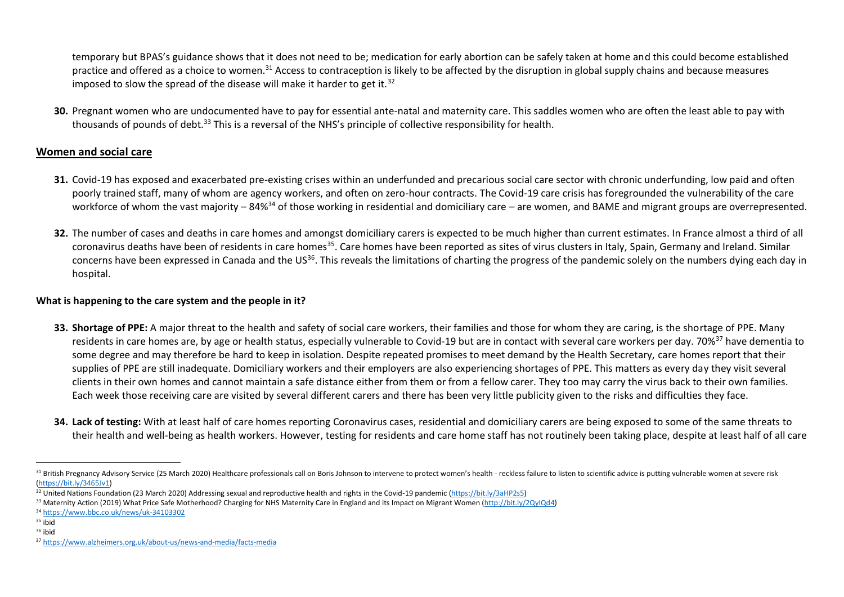temporary but BPAS's guidance shows that it does not need to be; medication for early abortion can be safely taken at home and this could become established practice and offered as a choice to women.<sup>31</sup> Access to contraception is likely to be affected by the disruption in global supply chains and because measures imposed to slow the spread of the disease will make it harder to get it.<sup>32</sup>

**30.** Pregnant women who are undocumented have to pay for essential ante-natal and maternity care. This saddles women who are often the least able to pay with thousands of pounds of debt.<sup>33</sup> This is a reversal of the NHS's principle of collective responsibility for health.

## **Women and social care**

- **31.** Covid-19 has exposed and exacerbated pre-existing crises within an underfunded and precarious social care sector with chronic underfunding, low paid and often poorly trained staff, many of whom are agency workers, and often on zero-hour contracts. The Covid-19 care crisis has foregrounded the vulnerability of the care workforce of whom the vast majority – 84%<sup>34</sup> of those working in residential and domiciliary care – are women, and BAME and migrant groups are overrepresented.
- **32.** The number of cases and deaths in care homes and amongst domiciliary carers is expected to be much higher than current estimates. In France almost a third of all coronavirus deaths have been of residents in care homes<sup>35</sup>. Care homes have been reported as sites of virus clusters in Italy, Spain, Germany and Ireland. Similar concerns have been expressed in Canada and the US<sup>36</sup>. This reveals the limitations of charting the progress of the pandemic solely on the numbers dying each day in hospital.

### **What is happening to the care system and the people in it?**

- **33. Shortage of PPE:** A major threat to the health and safety of social care workers, their families and those for whom they are caring, is the shortage of PPE. Many residents in care homes are, by age or health status, especially vulnerable to Covid-19 but are in contact with several care workers per day. 70%<sup>37</sup> have dementia to some degree and may therefore be hard to keep in isolation. Despite repeated promises to meet demand by the Health Secretary, care homes report that their supplies of PPE are still inadequate. Domiciliary workers and their employers are also experiencing shortages of PPE. This matters as every day they visit several clients in their own homes and cannot maintain a safe distance either from them or from a fellow carer. They too may carry the virus back to their own families. Each week those receiving care are visited by several different carers and there has been very little publicity given to the risks and difficulties they face.
- **34. Lack of testing:** With at least half of care homes reporting Coronavirus cases, residential and domiciliary carers are being exposed to some of the same threats to their health and well-being as health workers. However, testing for residents and care home staff has not routinely been taking place, despite at least half of all care

<sup>31</sup> British Pregnancy Advisory Service (25 March 2020) Healthcare professionals call on Boris Johnson to intervene to protect women's health - reckless failure to listen to scientific advice is putting vulnerable women at s [\(https://bit.ly/3465Jv1\)](https://bit.ly/3465Jv1) 

<sup>32</sup> United Nations Foundation (23 March 2020) Addressing sexual and reproductive health and rights in the Covid-19 pandemic [\(https://bit.ly/3aHP2s5\)](https://bit.ly/3aHP2s5)

<sup>&</sup>lt;sup>33</sup> Maternity Action (2019) What Price Safe Motherhood? Charging for NHS Maternity Care in England and its Impact on Migrant Women [\(http://bit.ly/2QyIQd4\)](http://bit.ly/2QyIQd4)

<sup>34</sup> <https://www.bbc.co.uk/news/uk-34103302>

<sup>35</sup> ibid

<sup>36</sup> ibid

<sup>37</sup> <https://www.alzheimers.org.uk/about-us/news-and-media/facts-media>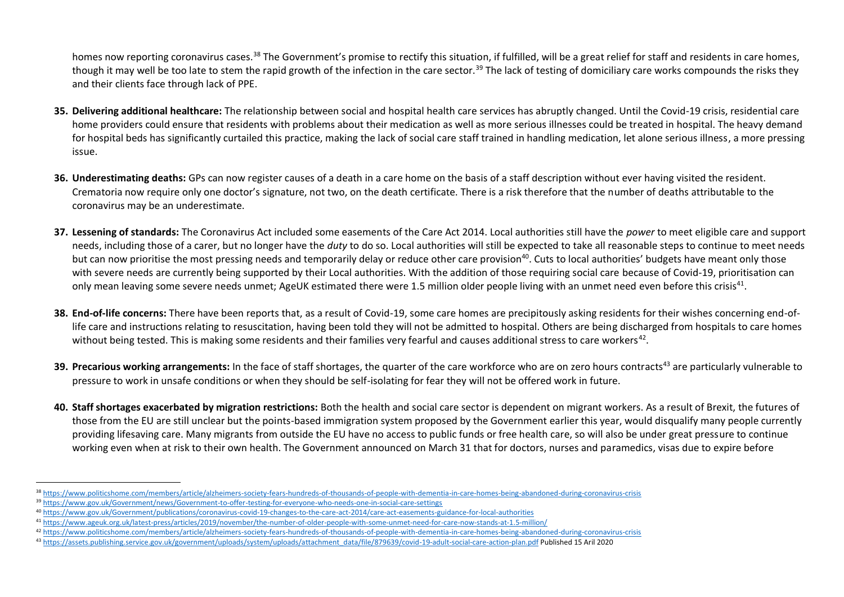homes now reporting coronavirus cases.<sup>38</sup> The Government's promise to rectify this situation, if fulfilled, will be a great relief for staff and residents in care homes, though it may well be too late to stem the rapid growth of the infection in the care sector.<sup>39</sup> The lack of testing of domiciliary care works compounds the risks they and their clients face through lack of PPE.

- **35. Delivering additional healthcare:** The relationship between social and hospital health care services has abruptly changed. Until the Covid-19 crisis, residential care home providers could ensure that residents with problems about their medication as well as more serious illnesses could be treated in hospital. The heavy demand for hospital beds has significantly curtailed this practice, making the lack of social care staff trained in handling medication, let alone serious illness, a more pressing issue.
- **36. Underestimating deaths:** GPs can now register causes of a death in a care home on the basis of a staff description without ever having visited the resident. Crematoria now require only one doctor's signature, not two, on the death certificate. There is a risk therefore that the number of deaths attributable to the coronavirus may be an underestimate.
- **37. Lessening of standards:** The Coronavirus Act included some easements of the Care Act 2014. Local authorities still have the *power* to meet eligible care and support needs, including those of a carer, but no longer have the *duty* to do so. Local authorities will still be expected to take all reasonable steps to continue to meet needs but can now prioritise the most pressing needs and temporarily delay or reduce other care provision<sup>40</sup>. Cuts to local authorities' budgets have meant only those with severe needs are currently being supported by their Local authorities. With the addition of those requiring social care because of Covid-19, prioritisation can only mean leaving some severe needs unmet; AgeUK estimated there were 1.5 million older people living with an unmet need even before this crisis<sup>41</sup>.
- **38. End-of-life concerns:** There have been reports that, as a result of Covid-19, some care homes are precipitously asking residents for their wishes concerning end-oflife care and instructions relating to resuscitation, having been told they will not be admitted to hospital. Others are being discharged from hospitals to care homes without being tested. This is making some residents and their families very fearful and causes additional stress to care workers<sup>42</sup>.
- **39. Precarious working arrangements:** In the face of staff shortages, the quarter of the care workforce who are on zero hours contracts<sup>43</sup> are particularly vulnerable to pressure to work in unsafe conditions or when they should be self-isolating for fear they will not be offered work in future.
- **40. Staff shortages exacerbated by migration restrictions:** Both the health and social care sector is dependent on migrant workers. As a result of Brexit, the futures of those from the EU are still unclear but the points-based immigration system proposed by the Government earlier this year, would disqualify many people currently providing lifesaving care. Many migrants from outside the EU have no access to public funds or free health care, so will also be under great pressure to continue working even when at risk to their own health. The Government announced on March 31 that for doctors, nurses and paramedics, visas due to expire before

<sup>38</sup> <https://www.politicshome.com/members/article/alzheimers-society-fears-hundreds-of-thousands-of-people-with-dementia-in-care-homes-being-abandoned-during-coronavirus-crisis>

<sup>39</sup> [https://www.gov.uk/Government/news/Government-to-offer-testing-for-everyone-who-needs-one-in-social-care-settings](https://www.gov.uk/government/news/government-to-offer-testing-for-everyone-who-needs-one-in-social-care-settings)

<sup>40</sup> [https://www.gov.uk/Government/publications/coronavirus-covid-19-changes-to-the-care-act-2014/care-act-easements-guidance-for-local-authorities](https://www.gov.uk/government/publications/coronavirus-covid-19-changes-to-the-care-act-2014/care-act-easements-guidance-for-local-authorities)

<sup>41</sup> <https://www.ageuk.org.uk/latest-press/articles/2019/november/the-number-of-older-people-with-some-unmet-need-for-care-now-stands-at-1.5-million/>

<sup>42</sup> <https://www.politicshome.com/members/article/alzheimers-society-fears-hundreds-of-thousands-of-people-with-dementia-in-care-homes-being-abandoned-during-coronavirus-crisis>

<sup>43</sup> [https://assets.publishing.service.gov.uk/government/uploads/system/uploads/attachment\\_data/file/879639/covid-19-adult-social-care-action-plan.pdf](https://assets.publishing.service.gov.uk/government/uploads/system/uploads/attachment_data/file/879639/covid-19-adult-social-care-action-plan.pdf) Published 15 Aril 2020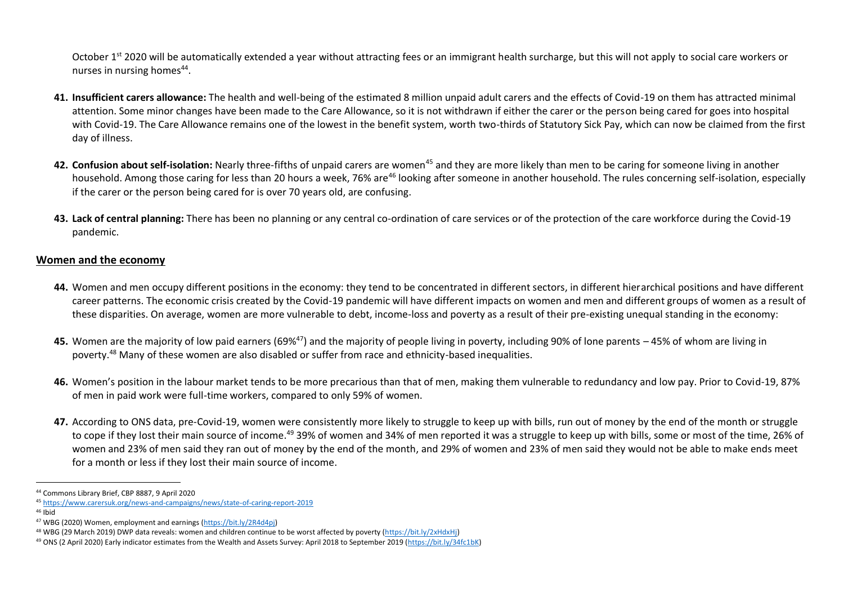October 1<sup>st</sup> 2020 will be automatically extended a year without attracting fees or an immigrant health surcharge, but this will not apply to social care workers or nurses in nursing homes<sup>44</sup>.

- **41. Insufficient carers allowance:** The health and well-being of the estimated 8 million unpaid adult carers and the effects of Covid-19 on them has attracted minimal attention. Some minor changes have been made to the Care Allowance, so it is not withdrawn if either the carer or the person being cared for goes into hospital with Covid-19. The Care Allowance remains one of the lowest in the benefit system, worth two-thirds of Statutory Sick Pay, which can now be claimed from the first day of illness.
- **42. Confusion about self-isolation:** Nearly three-fifths of unpaid carers are women<sup>45</sup> and they are more likely than men to be caring for someone living in another household. Among those caring for less than 20 hours a week, 76% are<sup>46</sup> looking after someone in another household. The rules concerning self-isolation, especially if the carer or the person being cared for is over 70 years old, are confusing.
- **43. Lack of central planning:** There has been no planning or any central co-ordination of care services or of the protection of the care workforce during the Covid-19 pandemic.

#### **Women and the economy**

- **44.** Women and men occupy different positions in the economy: they tend to be concentrated in different sectors, in different hierarchical positions and have different career patterns. The economic crisis created by the Covid-19 pandemic will have different impacts on women and men and different groups of women as a result of these disparities. On average, women are more vulnerable to debt, income-loss and poverty as a result of their pre-existing unequal standing in the economy:
- **45.** Women are the majority of low paid earners (69%<sup>47</sup>) and the majority of people living in poverty, including 90% of lone parents 45% of whom are living in poverty. <sup>48</sup> Many of these women are also disabled or suffer from race and ethnicity-based inequalities.
- **46.** Women's position in the labour market tends to be more precarious than that of men, making them vulnerable to redundancy and low pay. Prior to Covid-19, 87% of men in paid work were full-time workers, compared to only 59% of women.
- **47.** According to ONS data, pre-Covid-19, women were consistently more likely to struggle to keep up with bills, run out of money by the end of the month or struggle to cope if they lost their main source of income.<sup>49</sup> 39% of women and 34% of men reported it was a struggle to keep up with bills, some or most of the time, 26% of women and 23% of men said they ran out of money by the end of the month, and 29% of women and 23% of men said they would not be able to make ends meet for a month or less if they lost their main source of income.

<sup>44</sup> Commons Library Brief, CBP 8887, 9 April 2020

<sup>45</sup> <https://www.carersuk.org/news-and-campaigns/news/state-of-caring-report-2019>

 $46$  Ibid

<sup>&</sup>lt;sup>47</sup> WBG (2020) Women, employment and earnings [\(https://bit.ly/2R4d4pj\)](https://bit.ly/2R4d4pj)

<sup>48</sup> WBG (29 March 2019) DWP data reveals: women and children continue to be worst affected by poverty [\(https://bit.ly/2xHdxHj\)](https://bit.ly/2xHdxHj)

<sup>49</sup> ONS (2 April 2020) Early indicator estimates from the Wealth and Assets Survey: April 2018 to September 2019 [\(https://bit.ly/34fc1bK\)](https://bit.ly/34fc1bK)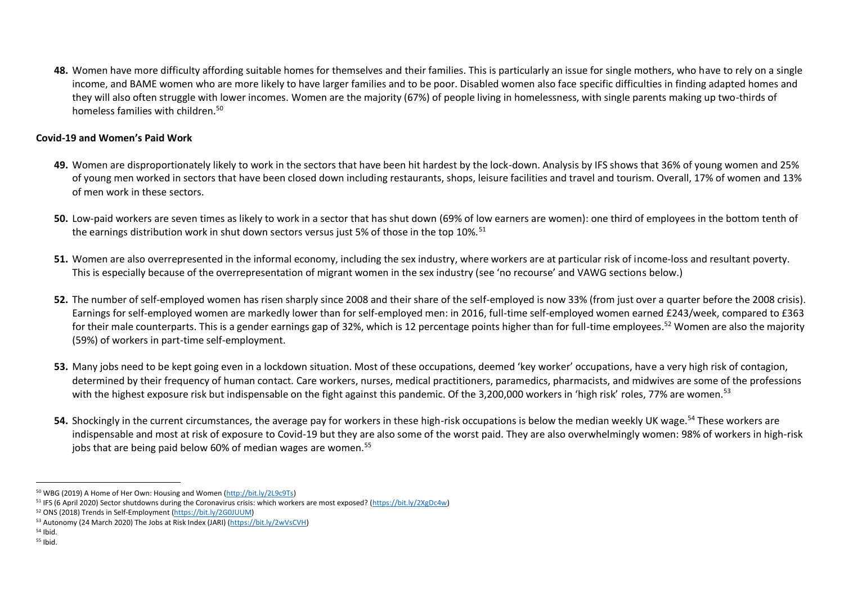**48.** Women have more difficulty affording suitable homes for themselves and their families. This is particularly an issue for single mothers, who have to rely on a single income, and BAME women who are more likely to have larger families and to be poor. Disabled women also face specific difficulties in finding adapted homes and they will also often struggle with lower incomes. Women are the majority (67%) of people living in homelessness, with single parents making up two-thirds of homeless families with children.<sup>50</sup>

### **Covid-19 and Women's Paid Work**

- **49.** Women are disproportionately likely to work in the sectors that have been hit hardest by the lock-down. Analysis by IFS shows that 36% of young women and 25% of young men worked in sectors that have been closed down including restaurants, shops, leisure facilities and travel and tourism. Overall, 17% of women and 13% of men work in these sectors.
- **50.** Low-paid workers are seven times as likely to work in a sector that has shut down (69% of low earners are women): one third of employees in the bottom tenth of the earnings distribution work in shut down sectors versus just 5% of those in the top 10%.<sup>51</sup>
- **51.** Women are also overrepresented in the informal economy, including the sex industry, where workers are at particular risk of income-loss and resultant poverty. This is especially because of the overrepresentation of migrant women in the sex industry (see 'no recourse' and VAWG sections below.)
- **52.** The number of self-employed women has risen sharply since 2008 and their share of the self-employed is now 33% (from just over a quarter before the 2008 crisis). Earnings for self-employed women are markedly lower than for self-employed men: in 2016, full-time self-employed women earned £243/week, compared to £363 for their male counterparts. This is a gender earnings gap of 32%, which is 12 percentage points higher than for full-time employees.<sup>52</sup> Women are also the majority (59%) of workers in part-time self-employment.
- **53.** Many jobs need to be kept going even in a lockdown situation. Most of these occupations, deemed 'key worker' occupations, have a very high risk of contagion, determined by their frequency of human contact. Care workers, nurses, medical practitioners, paramedics, pharmacists, and midwives are some of the professions with the highest exposure risk but indispensable on the fight against this pandemic. Of the 3,200,000 workers in 'high risk' roles, 77% are women.<sup>53</sup>
- **54.** Shockingly in the current circumstances, the average pay for workers in these high-risk occupations is below the median weekly UK wage.<sup>54</sup> These workers are indispensable and most at risk of exposure to Covid-19 but they are also some of the worst paid. They are also overwhelmingly women: 98% of workers in high-risk jobs that are being paid below 60% of median wages are women.<sup>55</sup>

<sup>50</sup> WBG (2019) A Home of Her Own: Housing and Women [\(http://bit.ly/2L9c9Ts\)](http://bit.ly/2L9c9Ts)

<sup>51</sup> IFS (6 April 2020) Sector shutdowns during the Coronavirus crisis: which workers are most exposed? [\(https://bit.ly/2XgDc4w\)](https://bit.ly/2XgDc4w)

<sup>52</sup> ONS (2018) Trends in Self-Employment [\(https://bit.ly/2G0JUUM\)](https://bit.ly/2G0JUUM)

<sup>53</sup> Autonomy (24 March 2020) The Jobs at Risk Index (JARI) [\(https://bit.ly/2wVsCVH\)](https://bit.ly/2wVsCVH)

<sup>54</sup> Ibid.

<sup>55</sup> Ibid.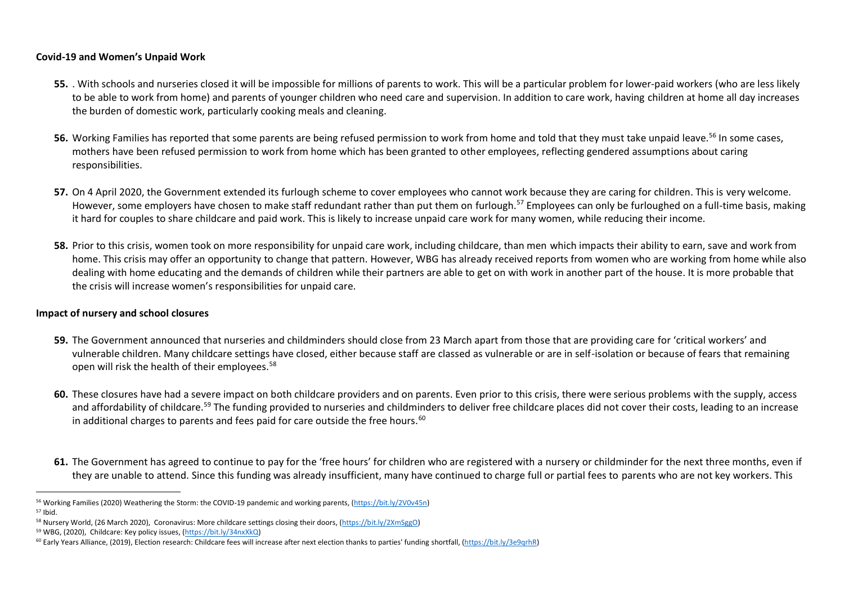#### **Covid-19 and Women's Unpaid Work**

- **55.** . With schools and nurseries closed it will be impossible for millions of parents to work. This will be a particular problem for lower-paid workers (who are less likely to be able to work from home) and parents of younger children who need care and supervision. In addition to care work, having children at home all day increases the burden of domestic work, particularly cooking meals and cleaning.
- 56. Working Families has reported that some parents are being refused permission to work from home and told that they must take unpaid leave.<sup>56</sup> In some cases. mothers have been refused permission to work from home which has been granted to other employees, reflecting gendered assumptions about caring responsibilities.
- **57.** On 4 April 2020, the Government extended its furlough scheme to cover employees who cannot work because they are caring for children. This is very welcome. However, some employers have chosen to make staff redundant rather than put them on furlough.<sup>57</sup> Employees can only be furloughed on a full-time basis, making it hard for couples to share childcare and paid work. This is likely to increase unpaid care work for many women, while reducing their income.
- **58.** Prior to this crisis, women took on more responsibility for unpaid care work, including childcare, than men which impacts their ability to earn, save and work from home. This crisis may offer an opportunity to change that pattern. However, WBG has already received reports from women who are working from home while also dealing with home educating and the demands of children while their partners are able to get on with work in another part of the house. It is more probable that the crisis will increase women's responsibilities for unpaid care.

#### **Impact of nursery and school closures**

- **59.** The Government announced that nurseries and childminders should close from 23 March apart from those that are providing care for 'critical workers' and vulnerable children. Many childcare settings have closed, either because staff are classed as vulnerable or are in self-isolation or because of fears that remaining open will risk the health of their employees.<sup>58</sup>
- **60.** These closures have had a severe impact on both childcare providers and on parents. Even prior to this crisis, there were serious problems with the supply, access and affordability of childcare.<sup>59</sup> The funding provided to nurseries and childminders to deliver free childcare places did not cover their costs, leading to an increase in additional charges to parents and fees paid for care outside the free hours. $60$
- **61.** The Government has agreed to continue to pay for the 'free hours' for children who are registered with a nursery or childminder for the next three months, even if they are unable to attend. Since this funding was already insufficient, many have continued to charge full or partial fees to parents who are not key workers. This

<sup>56</sup> Working Families (2020) Weathering the Storm: the COVID-19 pandemic and working parents, [\(https://bit.ly/2V0v45n\)](https://bit.ly/2V0v45n) <sup>57</sup> Ibid.

<sup>58</sup> Nursery World, (26 March 2020), Coronavirus: More childcare settings closing their doors, [\(https://bit.ly/2XmSggO\)](https://bit.ly/2XmSggO)

<sup>59</sup> WBG, (2020), Childcare: Key policy issues, [\(https://bit.ly/34nxXkQ\)](https://bit.ly/34nxXkQ)

<sup>60</sup> Early Years Alliance, (2019), Election research: Childcare fees will increase after next election thanks to parties' funding shortfall, [\(https://bit.ly/3e9qrhR\)](https://bit.ly/3e9qrhR)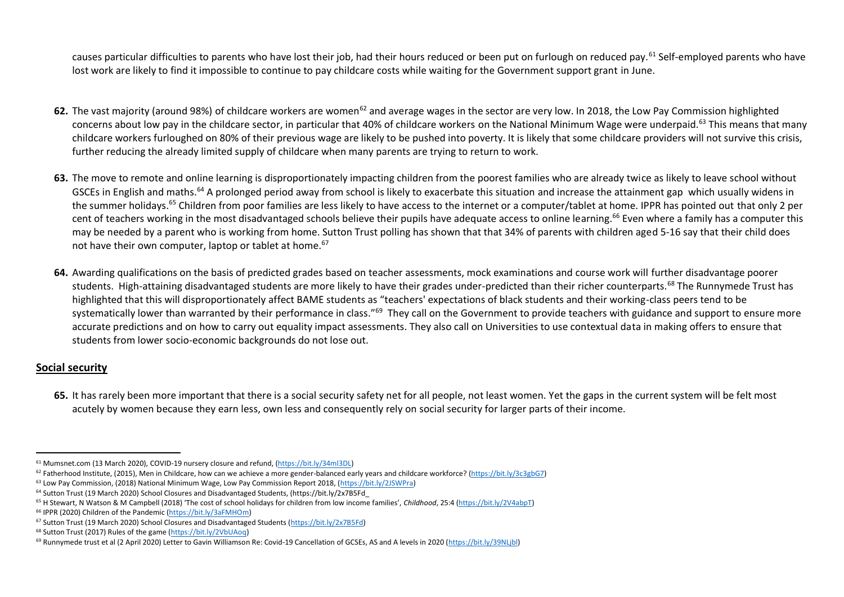causes particular difficulties to parents who have lost their job, had their hours reduced or been put on furlough on reduced pay.<sup>61</sup> Self-employed parents who have lost work are likely to find it impossible to continue to pay childcare costs while waiting for the Government support grant in June.

- **62.** The vast majority (around 98%) of childcare workers are women<sup>62</sup> and average wages in the sector are very low. In 2018, the Low Pay Commission highlighted concerns about low pay in the childcare sector, in particular that 40% of childcare workers on the National Minimum Wage were underpaid.<sup>63</sup> This means that many childcare workers furloughed on 80% of their previous wage are likely to be pushed into poverty. It is likely that some childcare providers will not survive this crisis, further reducing the already limited supply of childcare when many parents are trying to return to work.
- **63.** The move to remote and online learning is disproportionately impacting children from the poorest families who are already twice as likely to leave school without GSCEs in English and maths.<sup>64</sup> A prolonged period away from school is likely to exacerbate this situation and increase the attainment gap which usually widens in the summer holidays.<sup>65</sup> Children from poor families are less likely to have access to the internet or a computer/tablet at home. IPPR has pointed out that only 2 per cent of teachers working in the most disadvantaged schools believe their pupils have adequate access to online learning.<sup>66</sup> Even where a family has a computer this may be needed by a parent who is working from home. Sutton Trust polling has shown that that 34% of parents with children aged 5-16 say that their child does not have their own computer, laptop or tablet at home.<sup>67</sup>
- **64.** Awarding qualifications on the basis of predicted grades based on teacher assessments, mock examinations and course work will further disadvantage poorer students. High-attaining disadvantaged students are more likely to have their grades under-predicted than their richer counterparts.<sup>68</sup> The Runnymede Trust has highlighted that this will disproportionately affect BAME students as "teachers' expectations of black students and their working-class peers tend to be systematically lower than warranted by their performance in class."<sup>69</sup> They call on the Government to provide teachers with guidance and support to ensure more accurate predictions and on how to carry out equality impact assessments. They also call on Universities to use contextual data in making offers to ensure that students from lower socio-economic backgrounds do not lose out.

# **Social security**

**65.** It has rarely been more important that there is a social security safety net for all people, not least women. Yet the gaps in the current system will be felt most acutely by women because they earn less, own less and consequently rely on social security for larger parts of their income.

<sup>61</sup> Mumsnet.com (13 March 2020), COVID-19 nursery closure and refund, [\(https://bit.ly/34ml3DL\)](https://bit.ly/34ml3DL) 

 $62$  Fatherhood Institute, (2015), Men in Childcare, how can we achieve a more gender-balanced early years and childcare workforce? [\(https://bit.ly/3c3gbG7\)](https://bit.ly/3c3gbG7)

<sup>63</sup> Low Pay Commission, (2018) National Minimum Wage, Low Pay Commission Report 2018, [\(https://bit.ly/2JSWPra\)](https://bit.ly/2JSWPra)

<sup>64</sup> Sutton Trust (19 March 2020) School Closures and Disadvantaged Students, (https://bit.ly/2x7B5Fd\_

<sup>65</sup> H Stewart, N Watson & M Campbell (2018) 'The cost of school holidays for children from low income families', *Childhood*, 25:4 [\(https://bit.ly/2V4abpT\)](https://bit.ly/2V4abpT)

<sup>66</sup> IPPR (2020) Children of the Pandemic [\(https://bit.ly/3aFMHOm\)](https://bit.ly/3aFMHOm)

<sup>67</sup> Sutton Trust (19 March 2020) School Closures and Disadvantaged Students [\(https://bit.ly/2x7B5Fd\)](https://bit.ly/2x7B5Fd) 

<sup>68</sup> Sutton Trust (2017) Rules of the game [\(https://bit.ly/2VbUAoq\)](https://bit.ly/2VbUAoq)

<sup>69</sup> Runnymede trust et al (2 April 2020) Letter to Gavin Williamson Re: Covid-19 Cancellation of GCSEs, AS and A levels in 2020 [\(https://bit.ly/39NLjbl\)](https://bit.ly/39NLjbl)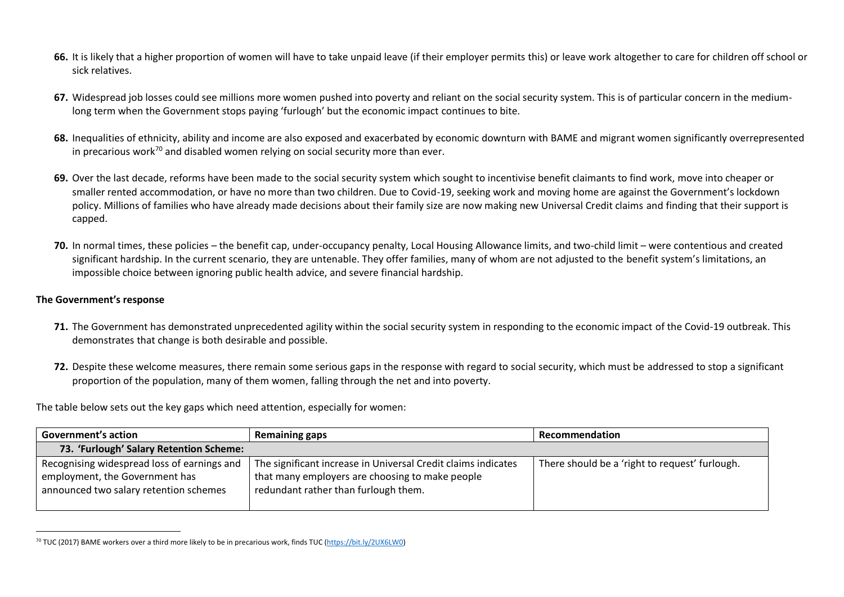- **66.** It is likely that a higher proportion of women will have to take unpaid leave (if their employer permits this) or leave work altogether to care for children off school or sick relatives.
- **67.** Widespread job losses could see millions more women pushed into poverty and reliant on the social security system. This is of particular concern in the mediumlong term when the Government stops paying 'furlough' but the economic impact continues to bite.
- **68.** Inequalities of ethnicity, ability and income are also exposed and exacerbated by economic downturn with BAME and migrant women significantly overrepresented in precarious work<sup>70</sup> and disabled women relying on social security more than ever.
- **69.** Over the last decade, reforms have been made to the social security system which sought to incentivise benefit claimants to find work, move into cheaper or smaller rented accommodation, or have no more than two children. Due to Covid-19, seeking work and moving home are against the Government's lockdown policy. Millions of families who have already made decisions about their family size are now making new Universal Credit claims and finding that their support is capped.
- **70.** In normal times, these policies the benefit cap, under-occupancy penalty, Local Housing Allowance limits, and two-child limit were contentious and created significant hardship. In the current scenario, they are untenable. They offer families, many of whom are not adjusted to the benefit system's limitations, an impossible choice between ignoring public health advice, and severe financial hardship.

#### **The Government's response**

- **71.** The Government has demonstrated unprecedented agility within the social security system in responding to the economic impact of the Covid-19 outbreak. This demonstrates that change is both desirable and possible.
- **72.** Despite these welcome measures, there remain some serious gaps in the response with regard to social security, which must be addressed to stop a significant proportion of the population, many of them women, falling through the net and into poverty.

The table below sets out the key gaps which need attention, especially for women:

| <b>Government's action</b>                                                                                              | <b>Remaining gaps</b>                                                                                                                                    | Recommendation                                 |
|-------------------------------------------------------------------------------------------------------------------------|----------------------------------------------------------------------------------------------------------------------------------------------------------|------------------------------------------------|
| 73. 'Furlough' Salary Retention Scheme:                                                                                 |                                                                                                                                                          |                                                |
| Recognising widespread loss of earnings and<br>employment, the Government has<br>announced two salary retention schemes | The significant increase in Universal Credit claims indicates<br>that many employers are choosing to make people<br>redundant rather than furlough them. | There should be a 'right to request' furlough. |

 $70$  TUC (2017) BAME workers over a third more likely to be in precarious work, finds TUC [\(https://bit.ly/2UX6LW0\)](https://bit.ly/2UX6LW0)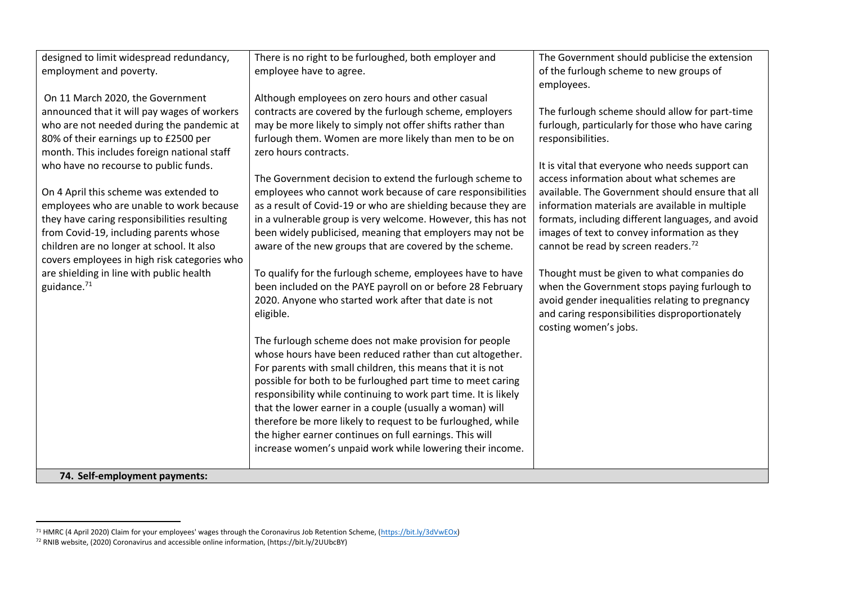| designed to limit widespread redundancy,     | There is no right to be furloughed, both employer and                                                                  | The Government should publicise the extension     |
|----------------------------------------------|------------------------------------------------------------------------------------------------------------------------|---------------------------------------------------|
| employment and poverty.                      | employee have to agree.                                                                                                | of the furlough scheme to new groups of           |
|                                              |                                                                                                                        | employees.                                        |
| On 11 March 2020, the Government             | Although employees on zero hours and other casual                                                                      |                                                   |
| announced that it will pay wages of workers  | contracts are covered by the furlough scheme, employers                                                                | The furlough scheme should allow for part-time    |
| who are not needed during the pandemic at    | may be more likely to simply not offer shifts rather than                                                              | furlough, particularly for those who have caring  |
| 80% of their earnings up to £2500 per        | furlough them. Women are more likely than men to be on                                                                 | responsibilities.                                 |
| month. This includes foreign national staff  | zero hours contracts.                                                                                                  |                                                   |
| who have no recourse to public funds.        |                                                                                                                        | It is vital that everyone who needs support can   |
|                                              | The Government decision to extend the furlough scheme to                                                               | access information about what schemes are         |
| On 4 April this scheme was extended to       | employees who cannot work because of care responsibilities                                                             | available. The Government should ensure that all  |
| employees who are unable to work because     | as a result of Covid-19 or who are shielding because they are                                                          | information materials are available in multiple   |
| they have caring responsibilities resulting  | in a vulnerable group is very welcome. However, this has not                                                           | formats, including different languages, and avoid |
| from Covid-19, including parents whose       | been widely publicised, meaning that employers may not be                                                              | images of text to convey information as they      |
| children are no longer at school. It also    | aware of the new groups that are covered by the scheme.                                                                | cannot be read by screen readers. <sup>72</sup>   |
| covers employees in high risk categories who |                                                                                                                        |                                                   |
| are shielding in line with public health     | To qualify for the furlough scheme, employees have to have                                                             | Thought must be given to what companies do        |
| guidance. $71$                               | been included on the PAYE payroll on or before 28 February                                                             | when the Government stops paying furlough to      |
|                                              | 2020. Anyone who started work after that date is not                                                                   | avoid gender inequalities relating to pregnancy   |
|                                              | eligible.                                                                                                              | and caring responsibilities disproportionately    |
|                                              |                                                                                                                        | costing women's jobs.                             |
|                                              | The furlough scheme does not make provision for people                                                                 |                                                   |
|                                              | whose hours have been reduced rather than cut altogether.                                                              |                                                   |
|                                              | For parents with small children, this means that it is not                                                             |                                                   |
|                                              | possible for both to be furloughed part time to meet caring                                                            |                                                   |
|                                              | responsibility while continuing to work part time. It is likely                                                        |                                                   |
|                                              | that the lower earner in a couple (usually a woman) will                                                               |                                                   |
|                                              | therefore be more likely to request to be furloughed, while<br>the higher earner continues on full earnings. This will |                                                   |
|                                              | increase women's unpaid work while lowering their income.                                                              |                                                   |
|                                              |                                                                                                                        |                                                   |
| 74. Self-employment payments:                |                                                                                                                        |                                                   |

<sup>&</sup>lt;sup>71</sup> HMRC (4 April 2020) Claim for your employees' wages through the Coronavirus Job Retention Scheme, ( $\frac{\hbar}{\hbar}$ thtly/3dVwEOx)

<sup>72</sup> RNIB website, (2020) Coronavirus and accessible online information, (https://bit.ly/2UUbcBY)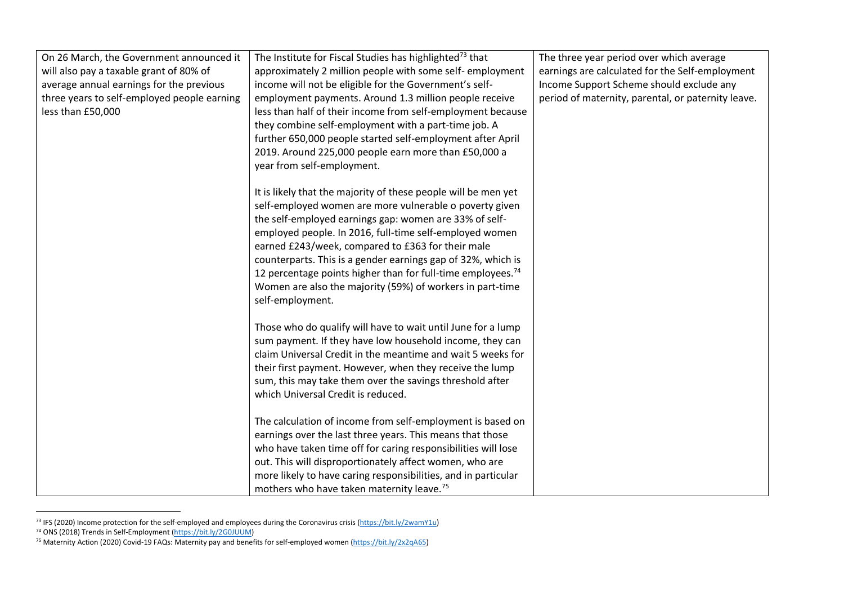| On 26 March, the Government announced it    | The Institute for Fiscal Studies has highlighted <sup>73</sup> that                                                     | The three year period over which average           |
|---------------------------------------------|-------------------------------------------------------------------------------------------------------------------------|----------------------------------------------------|
| will also pay a taxable grant of 80% of     | approximately 2 million people with some self-employment                                                                | earnings are calculated for the Self-employment    |
| average annual earnings for the previous    | income will not be eligible for the Government's self-                                                                  | Income Support Scheme should exclude any           |
| three years to self-employed people earning | employment payments. Around 1.3 million people receive                                                                  | period of maternity, parental, or paternity leave. |
| less than £50,000                           | less than half of their income from self-employment because                                                             |                                                    |
|                                             | they combine self-employment with a part-time job. A                                                                    |                                                    |
|                                             | further 650,000 people started self-employment after April                                                              |                                                    |
|                                             | 2019. Around 225,000 people earn more than £50,000 a                                                                    |                                                    |
|                                             | year from self-employment.                                                                                              |                                                    |
|                                             |                                                                                                                         |                                                    |
|                                             | It is likely that the majority of these people will be men yet                                                          |                                                    |
|                                             | self-employed women are more vulnerable o poverty given                                                                 |                                                    |
|                                             | the self-employed earnings gap: women are 33% of self-                                                                  |                                                    |
|                                             | employed people. In 2016, full-time self-employed women                                                                 |                                                    |
|                                             | earned £243/week, compared to £363 for their male                                                                       |                                                    |
|                                             | counterparts. This is a gender earnings gap of 32%, which is                                                            |                                                    |
|                                             | 12 percentage points higher than for full-time employees. <sup>74</sup>                                                 |                                                    |
|                                             | Women are also the majority (59%) of workers in part-time                                                               |                                                    |
|                                             | self-employment.                                                                                                        |                                                    |
|                                             |                                                                                                                         |                                                    |
|                                             | Those who do qualify will have to wait until June for a lump                                                            |                                                    |
|                                             | sum payment. If they have low household income, they can<br>claim Universal Credit in the meantime and wait 5 weeks for |                                                    |
|                                             |                                                                                                                         |                                                    |
|                                             | their first payment. However, when they receive the lump<br>sum, this may take them over the savings threshold after    |                                                    |
|                                             | which Universal Credit is reduced.                                                                                      |                                                    |
|                                             |                                                                                                                         |                                                    |
|                                             | The calculation of income from self-employment is based on                                                              |                                                    |
|                                             | earnings over the last three years. This means that those                                                               |                                                    |
|                                             | who have taken time off for caring responsibilities will lose                                                           |                                                    |
|                                             | out. This will disproportionately affect women, who are                                                                 |                                                    |
|                                             | more likely to have caring responsibilities, and in particular                                                          |                                                    |
|                                             | mothers who have taken maternity leave. <sup>75</sup>                                                                   |                                                    |

<sup>&</sup>lt;sup>73</sup> IFS (2020) Income protection for the self-employed and employees during the Coronavirus crisis ( $\frac{https://bit.bx/2wamY1u}{https}$ )

<sup>&</sup>lt;sup>74</sup> ONS (2018) Trends in Self-Employment [\(https://bit.ly/2G0JUUM\)](https://bit.ly/2G0JUUM)

<sup>&</sup>lt;sup>75</sup> Maternity Action (2020) Covid-19 FAQs: Maternity pay and benefits for self-employed women ( $\frac{http://bit.ly/2x2qA65)}{http://bit.ly/2x2qA65)}$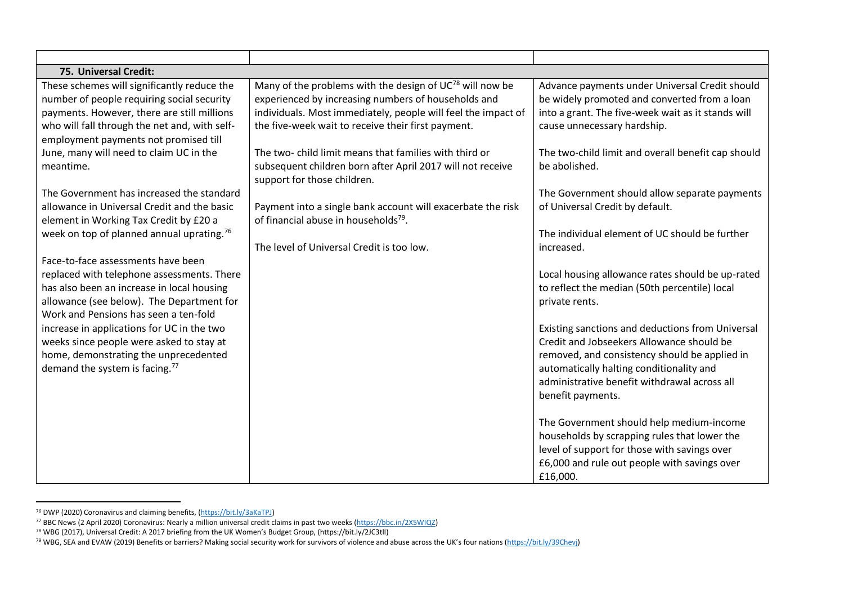| 75. Universal Credit:                                                                                                                                                                                                                                                                                                                                                                                                                                                                                                                                                                                                                                                                                                                                                                                                                                                                              |                                                                                                                                                                                                                                                                                                                                                                                                                                                                                                                                                                    |                                                                                                                                                                                                                                                                                                                                                                                                                                                                                                                                                                                                                                                                                                                                     |
|----------------------------------------------------------------------------------------------------------------------------------------------------------------------------------------------------------------------------------------------------------------------------------------------------------------------------------------------------------------------------------------------------------------------------------------------------------------------------------------------------------------------------------------------------------------------------------------------------------------------------------------------------------------------------------------------------------------------------------------------------------------------------------------------------------------------------------------------------------------------------------------------------|--------------------------------------------------------------------------------------------------------------------------------------------------------------------------------------------------------------------------------------------------------------------------------------------------------------------------------------------------------------------------------------------------------------------------------------------------------------------------------------------------------------------------------------------------------------------|-------------------------------------------------------------------------------------------------------------------------------------------------------------------------------------------------------------------------------------------------------------------------------------------------------------------------------------------------------------------------------------------------------------------------------------------------------------------------------------------------------------------------------------------------------------------------------------------------------------------------------------------------------------------------------------------------------------------------------------|
| These schemes will significantly reduce the<br>number of people requiring social security<br>payments. However, there are still millions<br>who will fall through the net and, with self-<br>employment payments not promised till<br>June, many will need to claim UC in the<br>meantime.<br>The Government has increased the standard<br>allowance in Universal Credit and the basic<br>element in Working Tax Credit by £20 a<br>week on top of planned annual uprating. <sup>76</sup><br>Face-to-face assessments have been<br>replaced with telephone assessments. There<br>has also been an increase in local housing<br>allowance (see below). The Department for<br>Work and Pensions has seen a ten-fold<br>increase in applications for UC in the two<br>weeks since people were asked to stay at<br>home, demonstrating the unprecedented<br>demand the system is facing. <sup>77</sup> | Many of the problems with the design of $UC^{78}$ will now be<br>experienced by increasing numbers of households and<br>individuals. Most immediately, people will feel the impact of<br>the five-week wait to receive their first payment.<br>The two- child limit means that families with third or<br>subsequent children born after April 2017 will not receive<br>support for those children.<br>Payment into a single bank account will exacerbate the risk<br>of financial abuse in households <sup>79</sup> .<br>The level of Universal Credit is too low. | Advance payments under Universal Credit should<br>be widely promoted and converted from a loan<br>into a grant. The five-week wait as it stands will<br>cause unnecessary hardship.<br>The two-child limit and overall benefit cap should<br>be abolished.<br>The Government should allow separate payments<br>of Universal Credit by default.<br>The individual element of UC should be further<br>increased.<br>Local housing allowance rates should be up-rated<br>to reflect the median (50th percentile) local<br>private rents.<br>Existing sanctions and deductions from Universal<br>Credit and Jobseekers Allowance should be<br>removed, and consistency should be applied in<br>automatically halting conditionality and |
|                                                                                                                                                                                                                                                                                                                                                                                                                                                                                                                                                                                                                                                                                                                                                                                                                                                                                                    |                                                                                                                                                                                                                                                                                                                                                                                                                                                                                                                                                                    | administrative benefit withdrawal across all                                                                                                                                                                                                                                                                                                                                                                                                                                                                                                                                                                                                                                                                                        |
|                                                                                                                                                                                                                                                                                                                                                                                                                                                                                                                                                                                                                                                                                                                                                                                                                                                                                                    |                                                                                                                                                                                                                                                                                                                                                                                                                                                                                                                                                                    | benefit payments.<br>The Government should help medium-income<br>households by scrapping rules that lower the<br>level of support for those with savings over<br>£6,000 and rule out people with savings over<br>£16,000.                                                                                                                                                                                                                                                                                                                                                                                                                                                                                                           |

<sup>&</sup>lt;sup>76</sup> DWP (2020) Coronavirus and claiming benefits, [\(https://bit.ly/3aKaTPJ\)](https://bit.ly/3aKaTPJ)

<sup>77</sup> BBC News (2 April 2020) Coronavirus: Nearly a million universal credit claims in past two weeks [\(https://bbc.in/2X5WIQZ\)](https://bbc.in/2X5WIQZ) 

<sup>78</sup> WBG (2017), Universal Credit: A 2017 briefing from the UK Women's Budget Group, (https://bit.ly/2JC3tlI)

<sup>&</sup>lt;sup>79</sup> WBG, SEA and EVAW (2019) Benefits or barriers? Making social security work for survivors of violence and abuse across the UK's four nations (https://bit.ly/39Chevj)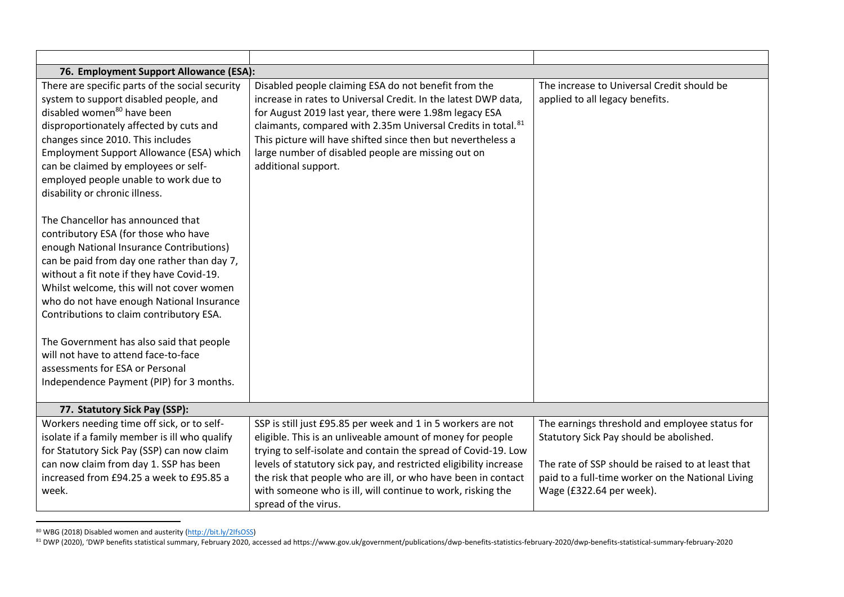| 76. Employment Support Allowance (ESA):                                                                                                                                                                                                                                                                                                                                                             |                                                                                                                                                                                                                                                                                                                                                                                                           |                                                                                                                                                                                                     |
|-----------------------------------------------------------------------------------------------------------------------------------------------------------------------------------------------------------------------------------------------------------------------------------------------------------------------------------------------------------------------------------------------------|-----------------------------------------------------------------------------------------------------------------------------------------------------------------------------------------------------------------------------------------------------------------------------------------------------------------------------------------------------------------------------------------------------------|-----------------------------------------------------------------------------------------------------------------------------------------------------------------------------------------------------|
| There are specific parts of the social security<br>system to support disabled people, and<br>disabled women <sup>80</sup> have been<br>disproportionately affected by cuts and<br>changes since 2010. This includes<br>Employment Support Allowance (ESA) which<br>can be claimed by employees or self-<br>employed people unable to work due to<br>disability or chronic illness.                  | Disabled people claiming ESA do not benefit from the<br>increase in rates to Universal Credit. In the latest DWP data,<br>for August 2019 last year, there were 1.98m legacy ESA<br>claimants, compared with 2.35m Universal Credits in total. <sup>81</sup><br>This picture will have shifted since then but nevertheless a<br>large number of disabled people are missing out on<br>additional support. | The increase to Universal Credit should be<br>applied to all legacy benefits.                                                                                                                       |
| The Chancellor has announced that<br>contributory ESA (for those who have<br>enough National Insurance Contributions)<br>can be paid from day one rather than day 7,<br>without a fit note if they have Covid-19.<br>Whilst welcome, this will not cover women<br>who do not have enough National Insurance<br>Contributions to claim contributory ESA.<br>The Government has also said that people |                                                                                                                                                                                                                                                                                                                                                                                                           |                                                                                                                                                                                                     |
| will not have to attend face-to-face<br>assessments for ESA or Personal<br>Independence Payment (PIP) for 3 months.                                                                                                                                                                                                                                                                                 |                                                                                                                                                                                                                                                                                                                                                                                                           |                                                                                                                                                                                                     |
|                                                                                                                                                                                                                                                                                                                                                                                                     |                                                                                                                                                                                                                                                                                                                                                                                                           |                                                                                                                                                                                                     |
| 77. Statutory Sick Pay (SSP):                                                                                                                                                                                                                                                                                                                                                                       |                                                                                                                                                                                                                                                                                                                                                                                                           |                                                                                                                                                                                                     |
| Workers needing time off sick, or to self-<br>isolate if a family member is ill who qualify<br>for Statutory Sick Pay (SSP) can now claim<br>can now claim from day 1. SSP has been<br>increased from £94.25 a week to £95.85 a                                                                                                                                                                     | SSP is still just £95.85 per week and 1 in 5 workers are not<br>eligible. This is an unliveable amount of money for people<br>trying to self-isolate and contain the spread of Covid-19. Low<br>levels of statutory sick pay, and restricted eligibility increase<br>the risk that people who are ill, or who have been in contact                                                                        | The earnings threshold and employee status for<br>Statutory Sick Pay should be abolished.<br>The rate of SSP should be raised to at least that<br>paid to a full-time worker on the National Living |
| week.                                                                                                                                                                                                                                                                                                                                                                                               | with someone who is ill, will continue to work, risking the<br>spread of the virus.                                                                                                                                                                                                                                                                                                                       | Wage (£322.64 per week).                                                                                                                                                                            |

<sup>&</sup>lt;sup>80</sup> WBG (2018) Disabled women and austerity [\(http://bit.ly/2IfsOSS\)](http://bit.ly/2IfsOSS)

<sup>81</sup> DWP (2020), 'DWP benefits statistical summary, February 2020, accessed ad https://www.gov.uk/government/publications/dwp-benefits-statistics-february-2020/dwp-benefits-statistical-summary-february-2020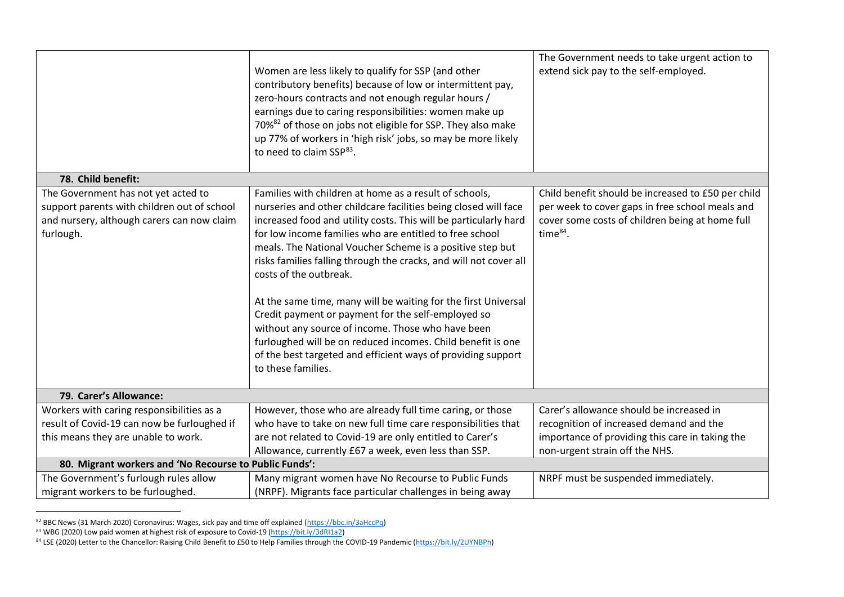|                                                                                                                                               | Women are less likely to qualify for SSP (and other<br>contributory benefits) because of low or intermittent pay,<br>zero-hours contracts and not enough regular hours /<br>earnings due to caring responsibilities: women make up<br>70% <sup>82</sup> of those on jobs not eligible for SSP. They also make<br>up 77% of workers in 'high risk' jobs, so may be more likely<br>to need to claim SSP <sup>83</sup> .                                                                                                                                                                                                                                                                                                                                  | The Government needs to take urgent action to<br>extend sick pay to the self-employed.                                                                                   |
|-----------------------------------------------------------------------------------------------------------------------------------------------|--------------------------------------------------------------------------------------------------------------------------------------------------------------------------------------------------------------------------------------------------------------------------------------------------------------------------------------------------------------------------------------------------------------------------------------------------------------------------------------------------------------------------------------------------------------------------------------------------------------------------------------------------------------------------------------------------------------------------------------------------------|--------------------------------------------------------------------------------------------------------------------------------------------------------------------------|
| 78. Child benefit:                                                                                                                            |                                                                                                                                                                                                                                                                                                                                                                                                                                                                                                                                                                                                                                                                                                                                                        |                                                                                                                                                                          |
| The Government has not yet acted to<br>support parents with children out of school<br>and nursery, although carers can now claim<br>furlough. | Families with children at home as a result of schools,<br>nurseries and other childcare facilities being closed will face<br>increased food and utility costs. This will be particularly hard<br>for low income families who are entitled to free school<br>meals. The National Voucher Scheme is a positive step but<br>risks families falling through the cracks, and will not cover all<br>costs of the outbreak.<br>At the same time, many will be waiting for the first Universal<br>Credit payment or payment for the self-employed so<br>without any source of income. Those who have been<br>furloughed will be on reduced incomes. Child benefit is one<br>of the best targeted and efficient ways of providing support<br>to these families. | Child benefit should be increased to £50 per child<br>per week to cover gaps in free school meals and<br>cover some costs of children being at home full<br>time $84$ .  |
| 79. Carer's Allowance:                                                                                                                        |                                                                                                                                                                                                                                                                                                                                                                                                                                                                                                                                                                                                                                                                                                                                                        |                                                                                                                                                                          |
| Workers with caring responsibilities as a<br>result of Covid-19 can now be furloughed if<br>this means they are unable to work.               | However, those who are already full time caring, or those<br>who have to take on new full time care responsibilities that<br>are not related to Covid-19 are only entitled to Carer's<br>Allowance, currently £67 a week, even less than SSP.                                                                                                                                                                                                                                                                                                                                                                                                                                                                                                          | Carer's allowance should be increased in<br>recognition of increased demand and the<br>importance of providing this care in taking the<br>non-urgent strain off the NHS. |
| 80. Migrant workers and 'No Recourse to Public Funds':                                                                                        |                                                                                                                                                                                                                                                                                                                                                                                                                                                                                                                                                                                                                                                                                                                                                        |                                                                                                                                                                          |
| The Government's furlough rules allow<br>migrant workers to be furloughed.                                                                    | Many migrant women have No Recourse to Public Funds<br>(NRPF). Migrants face particular challenges in being away                                                                                                                                                                                                                                                                                                                                                                                                                                                                                                                                                                                                                                       | NRPF must be suspended immediately.                                                                                                                                      |

<sup>&</sup>lt;sup>82</sup> BBC News (31 March 2020) Coronavirus: Wages, sick pay and time off explained [\(https://bbc.in/3aHccPq\)](https://bbc.in/3aHccPq)

<sup>&</sup>lt;sup>83</sup> WBG (2020) Low paid women at highest risk of exposure to Covid-19 (https://bit.ly/3dRI1a2)

<sup>&</sup>lt;sup>84</sup> LSE (2020) Letter to the Chancellor: Raising Child Benefit to £50 to Help Families through the COVID-19 Pandemic [\(https://bit.ly/2UYNBPh\)](https://bit.ly/2UYNBPh)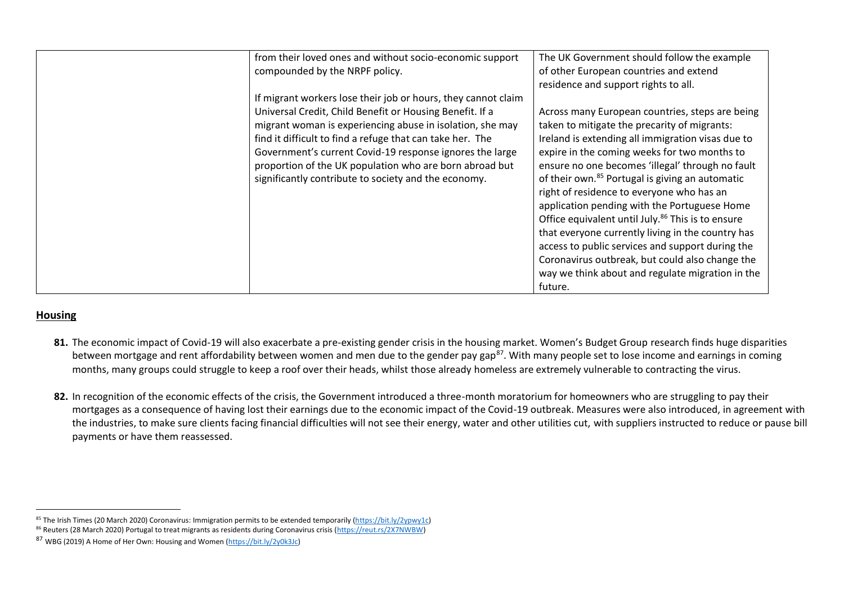| from their loved ones and without socio-economic support<br>compounded by the NRPF policy.                                                                                                                                                                                                                                                                                                                                         | The UK Government should follow the example<br>of other European countries and extend<br>residence and support rights to all.                                                                                                                                                                                                                                                                                                                                                                                                                                                                                                                                                                                    |
|------------------------------------------------------------------------------------------------------------------------------------------------------------------------------------------------------------------------------------------------------------------------------------------------------------------------------------------------------------------------------------------------------------------------------------|------------------------------------------------------------------------------------------------------------------------------------------------------------------------------------------------------------------------------------------------------------------------------------------------------------------------------------------------------------------------------------------------------------------------------------------------------------------------------------------------------------------------------------------------------------------------------------------------------------------------------------------------------------------------------------------------------------------|
| If migrant workers lose their job or hours, they cannot claim<br>Universal Credit, Child Benefit or Housing Benefit. If a<br>migrant woman is experiencing abuse in isolation, she may<br>find it difficult to find a refuge that can take her. The<br>Government's current Covid-19 response ignores the large<br>proportion of the UK population who are born abroad but<br>significantly contribute to society and the economy. | Across many European countries, steps are being<br>taken to mitigate the precarity of migrants:<br>Ireland is extending all immigration visas due to<br>expire in the coming weeks for two months to<br>ensure no one becomes 'illegal' through no fault<br>of their own. <sup>85</sup> Portugal is giving an automatic<br>right of residence to everyone who has an<br>application pending with the Portuguese Home<br>Office equivalent until July. <sup>86</sup> This is to ensure<br>that everyone currently living in the country has<br>access to public services and support during the<br>Coronavirus outbreak, but could also change the<br>way we think about and regulate migration in the<br>future. |

## **Housing**

- **81.** The economic impact of Covid-19 will also exacerbate a pre-existing gender crisis in the housing market. Women's Budget Group research finds huge disparities between mortgage and rent affordability between women and men due to the gender pay gap<sup>87</sup>. With many people set to lose income and earnings in coming months, many groups could struggle to keep a roof over their heads, whilst those already homeless are extremely vulnerable to contracting the virus.
- **82.** In recognition of the economic effects of the crisis, the Government introduced a three-month moratorium for homeowners who are struggling to pay their mortgages as a consequence of having lost their earnings due to the economic impact of the Covid-19 outbreak. Measures were also introduced, in agreement with the industries, to make sure clients facing financial difficulties will not see their energy, water and other utilities cut, with suppliers instructed to reduce or pause bill payments or have them reassessed.

<sup>85</sup> The Irish Times (20 March 2020) Coronavirus: Immigration permits to be extended temporarily [\(https://bit.ly/2ypwy1c\)](https://bit.ly/2ypwy1c)

<sup>86</sup> Reuters (28 March 2020) Portugal to treat migrants as residents during Coronavirus crisis [\(https://reut.rs/2X7NWBW\)](https://reut.rs/2X7NWBW)

<sup>87</sup> WBG (2019) A Home of Her Own: Housing and Women [\(https://bit.ly/2y0k3Jc\)](https://bit.ly/2y0k3Jc)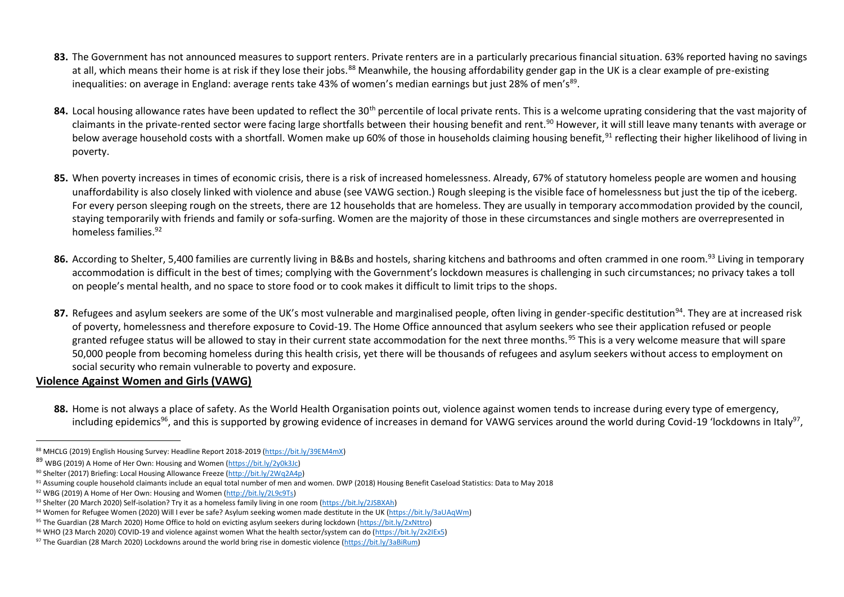- 83. The Government has not announced measures to support renters. Private renters are in a particularly precarious financial situation. 63% reported having no savings at all, which means their home is at risk if they lose their jobs.<sup>88</sup> Meanwhile, the housing affordability gender gap in the UK is a clear example of pre-existing inequalities: on average in England: average rents take 43% of women's median earnings but just 28% of men's<sup>89</sup>.
- 84. Local housing allowance rates have been updated to reflect the 30<sup>th</sup> percentile of local private rents. This is a welcome uprating considering that the vast majority of claimants in the private-rented sector were facing large shortfalls between their housing benefit and rent.<sup>90</sup> However, it will still leave many tenants with average or below average household costs with a shortfall. Women make up 60% of those in households claiming housing benefit,<sup>91</sup> reflecting their higher likelihood of living in poverty.
- **85.** When poverty increases in times of economic crisis, there is a risk of increased homelessness. Already, 67% of statutory homeless people are women and housing unaffordability is also closely linked with violence and abuse (see VAWG section.) Rough sleeping is the visible face of homelessness but just the tip of the iceberg. For every person sleeping rough on the streets, there are 12 households that are homeless. They are usually in temporary accommodation provided by the council, staying temporarily with friends and family or sofa-surfing. Women are the majority of those in these circumstances and single mothers are overrepresented in homeless families.<sup>92</sup>
- **86.** According to Shelter, 5,400 families are currently living in B&Bs and hostels, sharing kitchens and bathrooms and often crammed in one room.<sup>93</sup> Living in temporary accommodation is difficult in the best of times; complying with the Government's lockdown measures is challenging in such circumstances; no privacy takes a toll on people's mental health, and no space to store food or to cook makes it difficult to limit trips to the shops.
- 87. Refugees and asylum seekers are some of the UK's most vulnerable and marginalised people, often living in gender-specific destitution<sup>94</sup>. They are at increased risk of poverty, homelessness and therefore exposure to Covid-19. The Home Office announced that asylum seekers who see their application refused or people granted refugee status will be allowed to stay in their current state accommodation for the next three months.<sup>95</sup> This is a very welcome measure that will spare 50,000 people from becoming homeless during this health crisis, yet there will be thousands of refugees and asylum seekers without access to employment on social security who remain vulnerable to poverty and exposure.

## **Violence Against Women and Girls (VAWG)**

**88.** Home is not always a place of safety. As the World Health Organisation points out, violence against women tends to increase during every type of emergency, including epidemics<sup>96</sup>, and this is supported by growing evidence of increases in demand for VAWG services around the world during Covid-19 'lockdowns in Italy<sup>97</sup>,

<sup>88</sup> MHCLG (2019) English Housing Survey: Headline Report 2018-2019 [\(https://bit.ly/39EM4mX\)](https://bit.ly/39EM4mX) 

<sup>89</sup> WBG (2019) A Home of Her Own: Housing and Women [\(https://bit.ly/2y0k3Jc\)](https://bit.ly/2y0k3Jc)

<sup>90</sup> Shelter (2017) Briefing: Local Housing Allowance Freeze [\(http://bit.ly/2Wq2A4p\)](http://bit.ly/2Wq2A4p) 

<sup>&</sup>lt;sup>91</sup> Assuming couple household claimants include an equal total number of men and women. DWP (2018) Housing Benefit Caseload Statistics: Data to May 2018

<sup>92</sup> WBG (2019) A Home of Her Own: Housing and Women [\(http://bit.ly/2L9c9Ts\)](http://bit.ly/2L9c9Ts)

<sup>93</sup> Shelter (20 March 2020) Self-isolation? Try it as a homeless family living in one room [\(https://bit.ly/2JSBXAh\)](https://bit.ly/2JSBXAh) 

<sup>94</sup> Women for Refugee Women (2020) Will I ever be safe? Asylum seeking women made destitute in the UK [\(https://bit.ly/3aUAqWm\)](https://bit.ly/3aUAqWm)

<sup>95</sup> The Guardian (28 March 2020) Home Office to hold on evicting asylum seekers during lockdown [\(https://bit.ly/2xNttro\)](https://bit.ly/2xNttro) 

<sup>96</sup> WHO (23 March 2020) COVID-19 and violence against women What the health sector/system can do [\(https://bit.ly/2x2IEx5\)](https://bit.ly/2x2IEx5)

<sup>97</sup> The Guardian (28 March 2020) Lockdowns around the world bring rise in domestic violence [\(https://bit.ly/3aBiRum\)](https://bit.ly/3aBiRum)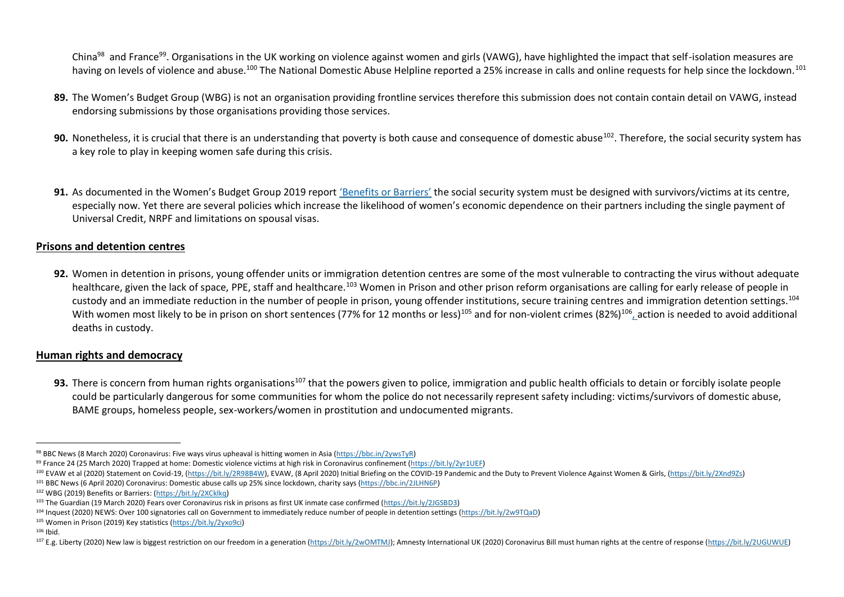China<sup>98</sup> and France<sup>99</sup>. Organisations in the UK working on violence against women and girls (VAWG), have highlighted the impact that self-isolation measures are having on levels of violence and abuse.<sup>100</sup> The National Domestic Abuse Helpline reported a 25% increase in calls and online requests for help since the lockdown.<sup>101</sup>

- **89.** The Women's Budget Group (WBG) is not an organisation providing frontline services therefore this submission does not contain contain detail on VAWG, instead endorsing submissions by those organisations providing those services.
- **90.** Nonetheless, it is crucial that there is an understanding that poverty is both cause and consequence of domestic abuse<sup>102</sup>. Therefore, the social security system has a key role to play in keeping women safe during this crisis.
- **91.** As documented in the Women's Budget Group 2019 report ['Benefits or Barriers'](https://wbg.org.uk/wp-content/uploads/2019/06/Benefits-or-barriers-4-nations-report.pdf) the social security system must be designed with survivors/victims at its centre, especially now. Yet there are several policies which increase the likelihood of women's economic dependence on their partners including the single payment of Universal Credit, NRPF and limitations on spousal visas.

#### **Prisons and detention centres**

**92.** Women in detention in prisons, young offender units or immigration detention centres are some of the most vulnerable to contracting the virus without adequate healthcare, given the lack of space, PPE, staff and healthcare.<sup>103</sup> Women in Prison and other prison reform organisations are calling for early release of people in custody and an immediate reduction in the number of people in prison, young offender institutions, secure training centres and immigration detention settings.<sup>104</sup> With women most likely to be in prison on short sentences (77% for 12 months or less)<sup>105</sup> and for non-violent crimes (82%)<sup>106</sup><sub>L</sub>action is needed to avoid additional deaths in custody.

## **Human rights and democracy**

**93.** There is concern from human rights organisations<sup>107</sup> that the powers given to police, immigration and public health officials to detain or forcibly isolate people could be particularly dangerous for some communities for whom the police do not necessarily represent safety including: victims/survivors of domestic abuse, BAME groups, homeless people, sex-workers/women in prostitution and undocumented migrants.

<sup>98</sup> BBC News (8 March 2020) Coronavirus: Five ways virus upheaval is hitting women in Asia [\(https://bbc.in/2ywsTyR\)](https://bbc.in/2ywsTyR)

<sup>99</sup> France 24 (25 March 2020) Trapped at home: Domestic violence victims at high risk in Coronavirus confinement (https://bit.ly/2yr1UEF)

<sup>&</sup>lt;sup>100</sup> EVAW et al (2020) Statement on Covid-19, [\(https://bit.ly/2R98B4W\)](https://bit.ly/2R98B4W), EVAW, (8 April 2020) Initial Briefing on the COVID-19 Pandemic and the Duty to Prevent Violence Against Women & Girls, [\(https://bit.ly/2Xnd9Zs\)](https://bit.ly/2Xnd9Zs)

<sup>101</sup> BBC News (6 April 2020) Coronavirus: Domestic abuse calls up 25% since lockdown, charity says [\(https://bbc.in/2JLHN6P\)](https://bbc.in/2JLHN6P)

<sup>102</sup> WBG (2019) Benefits or Barriers: [\(https://bit.ly/2XCklkq\)](https://bit.ly/2XCklkq)

<sup>103</sup> The Guardian (19 March 2020) Fears over Coronavirus risk in prisons as first UK inmate case confirmed [\(https://bit.ly/2JGSBD3\)](https://bit.ly/2JGSBD3)

<sup>104</sup> Inquest (2020) NEWS: Over 100 signatories call on Government to immediately reduce number of people in detention settings [\(https://bit.ly/2w9TQaD\)](https://bit.ly/2w9TQaD)

<sup>105</sup> Women in Prison (2019) Key statistics [\(https://bit.ly/2yxo9ci\)](https://bit.ly/2yxo9ci)

<sup>106</sup> Ibid.

<sup>107</sup> E.g. Liberty (2020) New law is biggest restriction on our freedom in a generation [\(https://bit.ly/2wOMTMJ\)](https://bit.ly/2wOMTMJ); Amnesty International UK (2020) Coronavirus Bill must human rights at the centre of response (https://bit.ly/2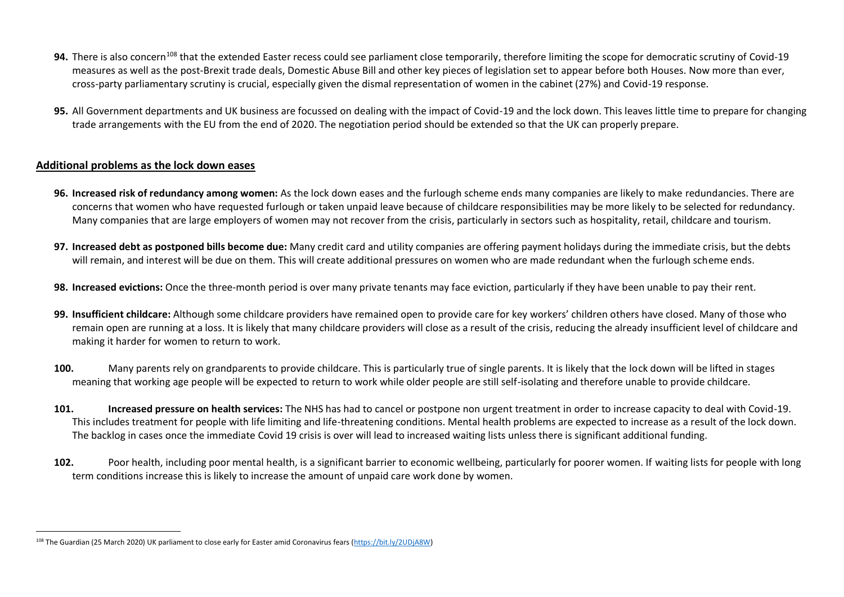- 94. There is also concern<sup>108</sup> that the extended Easter recess could see parliament close temporarily, therefore limiting the scope for democratic scrutiny of Covid-19 measures as well as the post-Brexit trade deals, Domestic Abuse Bill and other key pieces of legislation set to appear before both Houses. Now more than ever, cross-party parliamentary scrutiny is crucial, especially given the dismal representation of women in the cabinet (27%) and Covid-19 response.
- **95.** All Government departments and UK business are focussed on dealing with the impact of Covid-19 and the lock down. This leaves little time to prepare for changing trade arrangements with the EU from the end of 2020. The negotiation period should be extended so that the UK can properly prepare.

## **Additional problems as the lock down eases**

- **96. Increased risk of redundancy among women:** As the lock down eases and the furlough scheme ends many companies are likely to make redundancies. There are concerns that women who have requested furlough or taken unpaid leave because of childcare responsibilities may be more likely to be selected for redundancy. Many companies that are large employers of women may not recover from the crisis, particularly in sectors such as hospitality, retail, childcare and tourism.
- **97. Increased debt as postponed bills become due:** Many credit card and utility companies are offering payment holidays during the immediate crisis, but the debts will remain, and interest will be due on them. This will create additional pressures on women who are made redundant when the furlough scheme ends.
- **98. Increased evictions:** Once the three-month period is over many private tenants may face eviction, particularly if they have been unable to pay their rent.
- **99. Insufficient childcare:** Although some childcare providers have remained open to provide care for key workers' children others have closed. Many of those who remain open are running at a loss. It is likely that many childcare providers will close as a result of the crisis, reducing the already insufficient level of childcare and making it harder for women to return to work.
- **100.** Many parents rely on grandparents to provide childcare. This is particularly true of single parents. It is likely that the lock down will be lifted in stages meaning that working age people will be expected to return to work while older people are still self-isolating and therefore unable to provide childcare.
- **101. Increased pressure on health services:** The NHS has had to cancel or postpone non urgent treatment in order to increase capacity to deal with Covid-19. This includes treatment for people with life limiting and life-threatening conditions. Mental health problems are expected to increase as a result of the lock down. The backlog in cases once the immediate Covid 19 crisis is over will lead to increased waiting lists unless there is significant additional funding.
- **102.** Poor health, including poor mental health, is a significant barrier to economic wellbeing, particularly for poorer women. If waiting lists for people with long term conditions increase this is likely to increase the amount of unpaid care work done by women.

<sup>108</sup> The Guardian (25 March 2020) UK parliament to close early for Easter amid Coronavirus fears [\(https://bit.ly/2UDjA8W\)](https://bit.ly/2UDjA8W)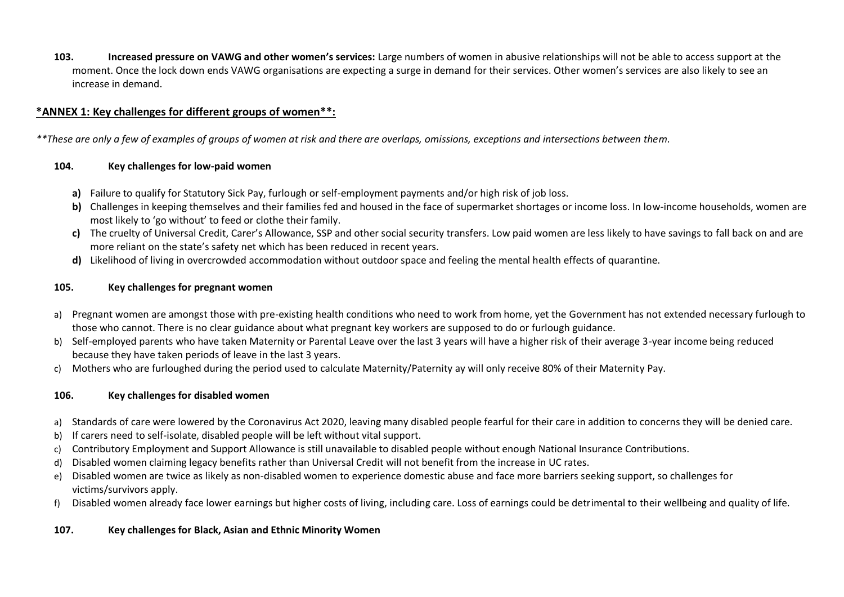**103. Increased pressure on VAWG and other women's services:** Large numbers of women in abusive relationships will not be able to access support at the moment. Once the lock down ends VAWG organisations are expecting a surge in demand for their services. Other women's services are also likely to see an increase in demand.

# **\*ANNEX 1: Key challenges for different groups of women\*\*:**

*\*\*These are only a few of examples of groups of women at risk and there are overlaps, omissions, exceptions and intersections between them.*

## **104. Key challenges for low-paid women**

- **a)** Failure to qualify for Statutory Sick Pay, furlough or self-employment payments and/or high risk of job loss.
- **b)** Challenges in keeping themselves and their families fed and housed in the face of supermarket shortages or income loss. In low-income households, women are most likely to 'go without' to feed or clothe their family.
- **c)** The cruelty of Universal Credit, Carer's Allowance, SSP and other social security transfers. Low paid women are less likely to have savings to fall back on and are more reliant on the state's safety net which has been reduced in recent years.
- **d)** Likelihood of living in overcrowded accommodation without outdoor space and feeling the mental health effects of quarantine.

# **105. Key challenges for pregnant women**

- a) Pregnant women are amongst those with pre-existing health conditions who need to work from home, yet the Government has not extended necessary furlough to those who cannot. There is no clear guidance about what pregnant key workers are supposed to do or furlough guidance.
- b) Self-employed parents who have taken Maternity or Parental Leave over the last 3 years will have a higher risk of their average 3-year income being reduced because they have taken periods of leave in the last 3 years.
- c) Mothers who are furloughed during the period used to calculate Maternity/Paternity ay will only receive 80% of their Maternity Pay.

# **106. Key challenges for disabled women**

- a) Standards of care were lowered by the Coronavirus Act 2020, leaving many disabled people fearful for their care in addition to concerns they will be denied care.
- b) If carers need to self-isolate, disabled people will be left without vital support.
- c) Contributory Employment and Support Allowance is still unavailable to disabled people without enough National Insurance Contributions.
- d) Disabled women claiming legacy benefits rather than Universal Credit will not benefit from the increase in UC rates.
- e) Disabled women are twice as likely as non-disabled women to experience domestic abuse and face more barriers seeking support, so challenges for victims/survivors apply.
- f) Disabled women already face lower earnings but higher costs of living, including care. Loss of earnings could be detrimental to their wellbeing and quality of life.

# **107. Key challenges for Black, Asian and Ethnic Minority Women**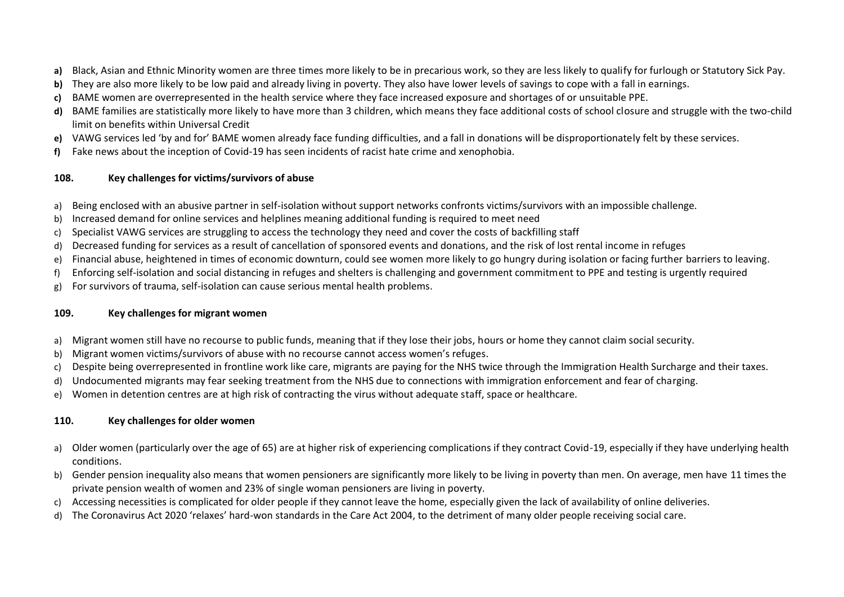- **a)** Black, Asian and Ethnic Minority women are three times more likely to be in precarious work, so they are less likely to qualify for furlough or Statutory Sick Pay.
- **b)** They are also more likely to be low paid and already living in poverty. They also have lower levels of savings to cope with a fall in earnings.
- **c)** BAME women are overrepresented in the health service where they face increased exposure and shortages of or unsuitable PPE.
- **d)** BAME families are statistically more likely to have more than 3 children, which means they face additional costs of school closure and struggle with the two-child limit on benefits within Universal Credit
- **e)** VAWG services led 'by and for' BAME women already face funding difficulties, and a fall in donations will be disproportionately felt by these services.
- **f)** Fake news about the inception of Covid-19 has seen incidents of racist hate crime and xenophobia.

## **108. Key challenges for victims/survivors of abuse**

- a) Being enclosed with an abusive partner in self-isolation without support networks confronts victims/survivors with an impossible challenge.
- b) Increased demand for online services and helplines meaning additional funding is required to meet need
- c) Specialist VAWG services are struggling to access the technology they need and cover the costs of backfilling staff
- d) Decreased funding for services as a result of cancellation of sponsored events and donations, and the risk of lost rental income in refuges
- e) Financial abuse, heightened in times of economic downturn, could see women more likely to go hungry during isolation or facing further barriers to leaving.
- f) Enforcing self-isolation and social distancing in refuges and shelters is challenging and government commitment to PPE and testing is urgently required
- g) For survivors of trauma, self-isolation can cause serious mental health problems.

# **109. Key challenges for migrant women**

- a) Migrant women still have no recourse to public funds, meaning that if they lose their jobs, hours or home they cannot claim social security.
- b) Migrant women victims/survivors of abuse with no recourse cannot access women's refuges.
- c) Despite being overrepresented in frontline work like care, migrants are paying for the NHS twice through the Immigration Health Surcharge and their taxes.
- d) Undocumented migrants may fear seeking treatment from the NHS due to connections with immigration enforcement and fear of charging.
- e) Women in detention centres are at high risk of contracting the virus without adequate staff, space or healthcare.

# **110. Key challenges for older women**

- a) Older women (particularly over the age of 65) are at higher risk of experiencing complications if they contract Covid-19, especially if they have underlying health conditions.
- b) Gender pension inequality also means that women pensioners are significantly more likely to be living in poverty than men. On average, men have 11 times the private pension wealth of women and 23% of single woman pensioners are living in poverty.
- c) Accessing necessities is complicated for older people if they cannot leave the home, especially given the lack of availability of online deliveries.
- d) The Coronavirus Act 2020 'relaxes' hard-won standards in the Care Act 2004, to the detriment of many older people receiving social care.